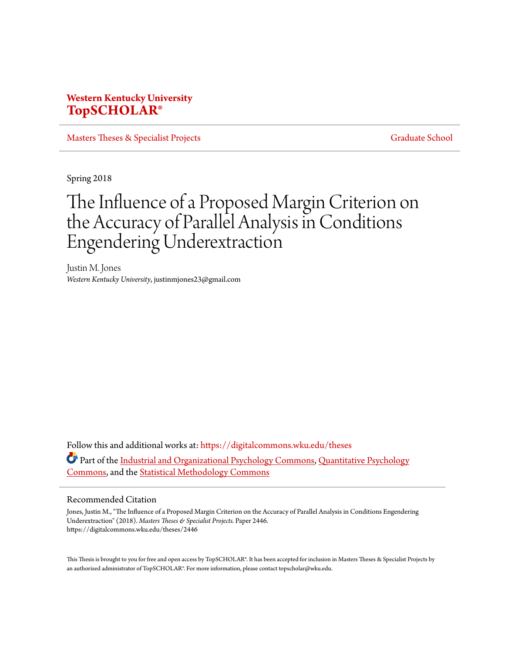## **Western Kentucky University [TopSCHOLAR®](https://digitalcommons.wku.edu?utm_source=digitalcommons.wku.edu%2Ftheses%2F2446&utm_medium=PDF&utm_campaign=PDFCoverPages)**

[Masters Theses & Specialist Projects](https://digitalcommons.wku.edu/theses?utm_source=digitalcommons.wku.edu%2Ftheses%2F2446&utm_medium=PDF&utm_campaign=PDFCoverPages) [Graduate School](https://digitalcommons.wku.edu/Graduate?utm_source=digitalcommons.wku.edu%2Ftheses%2F2446&utm_medium=PDF&utm_campaign=PDFCoverPages)

Spring 2018

# The Influence of a Proposed Margin Criterion on the Accuracy of Parallel Analysis in Conditions Engendering Underextraction

Justin M. Jones *Western Kentucky University*, justinmjones23@gmail.com

Follow this and additional works at: [https://digitalcommons.wku.edu/theses](https://digitalcommons.wku.edu/theses?utm_source=digitalcommons.wku.edu%2Ftheses%2F2446&utm_medium=PDF&utm_campaign=PDFCoverPages) Part of the [Industrial and Organizational Psychology Commons](http://network.bepress.com/hgg/discipline/412?utm_source=digitalcommons.wku.edu%2Ftheses%2F2446&utm_medium=PDF&utm_campaign=PDFCoverPages), [Quantitative Psychology](http://network.bepress.com/hgg/discipline/1041?utm_source=digitalcommons.wku.edu%2Ftheses%2F2446&utm_medium=PDF&utm_campaign=PDFCoverPages) [Commons,](http://network.bepress.com/hgg/discipline/1041?utm_source=digitalcommons.wku.edu%2Ftheses%2F2446&utm_medium=PDF&utm_campaign=PDFCoverPages) and the [Statistical Methodology Commons](http://network.bepress.com/hgg/discipline/213?utm_source=digitalcommons.wku.edu%2Ftheses%2F2446&utm_medium=PDF&utm_campaign=PDFCoverPages)

#### Recommended Citation

Jones, Justin M., "The Influence of a Proposed Margin Criterion on the Accuracy of Parallel Analysis in Conditions Engendering Underextraction" (2018). *Masters Theses & Specialist Projects.* Paper 2446. https://digitalcommons.wku.edu/theses/2446

This Thesis is brought to you for free and open access by TopSCHOLAR®. It has been accepted for inclusion in Masters Theses & Specialist Projects by an authorized administrator of TopSCHOLAR®. For more information, please contact topscholar@wku.edu.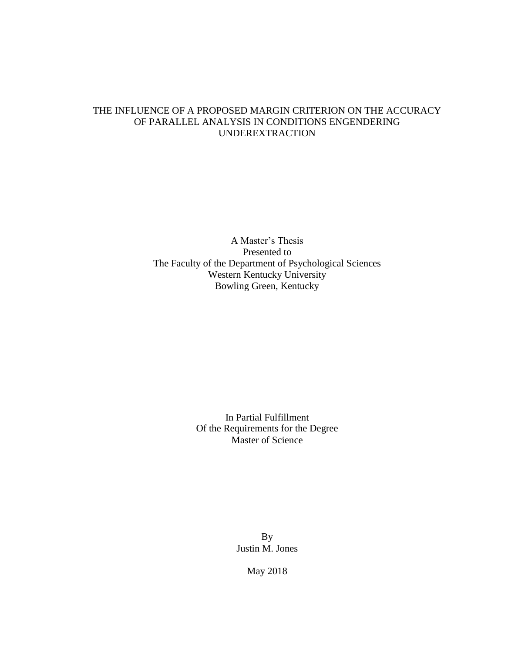## THE INFLUENCE OF A PROPOSED MARGIN CRITERION ON THE ACCURACY OF PARALLEL ANALYSIS IN CONDITIONS ENGENDERING UNDEREXTRACTION

A Master's Thesis Presented to The Faculty of the Department of Psychological Sciences Western Kentucky University Bowling Green, Kentucky

> In Partial Fulfillment Of the Requirements for the Degree Master of Science

> > By Justin M. Jones

> > > May 2018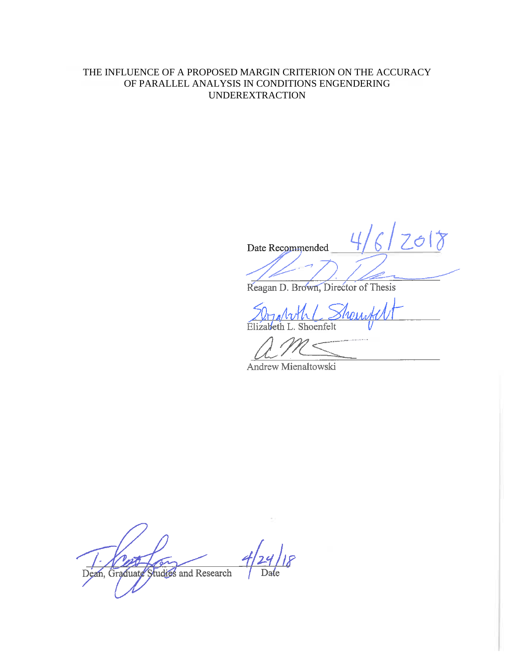## THE INFLUENCE OF A PROPOSED MARGIN CRITERION ON THE ACCURACY OF PARALLEL ANALYSIS IN CONDITIONS ENGENDERING UNDEREXTRACTION

Date Recommended

Reagan D. Brown, Director of Thesis

Elizabeth L. Shoenfelt

 $\overline{\delta}$ 

Andrew Mienaltowski

Dean, Graduate Studies and Research Date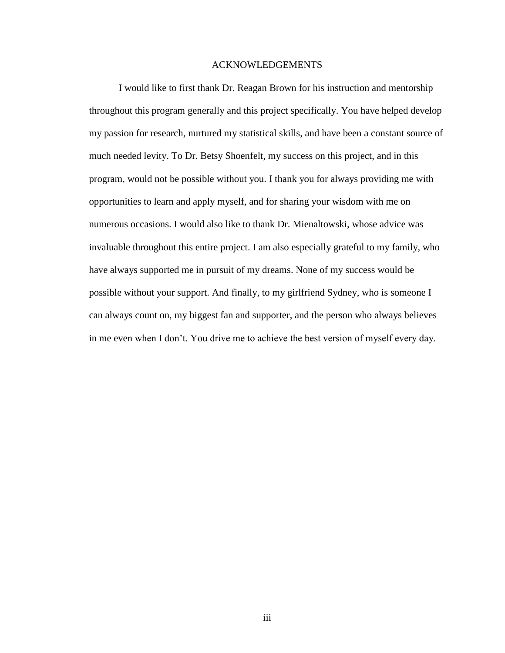## ACKNOWLEDGEMENTS

I would like to first thank Dr. Reagan Brown for his instruction and mentorship throughout this program generally and this project specifically. You have helped develop my passion for research, nurtured my statistical skills, and have been a constant source of much needed levity. To Dr. Betsy Shoenfelt, my success on this project, and in this program, would not be possible without you. I thank you for always providing me with opportunities to learn and apply myself, and for sharing your wisdom with me on numerous occasions. I would also like to thank Dr. Mienaltowski, whose advice was invaluable throughout this entire project. I am also especially grateful to my family, who have always supported me in pursuit of my dreams. None of my success would be possible without your support. And finally, to my girlfriend Sydney, who is someone I can always count on, my biggest fan and supporter, and the person who always believes in me even when I don't. You drive me to achieve the best version of myself every day.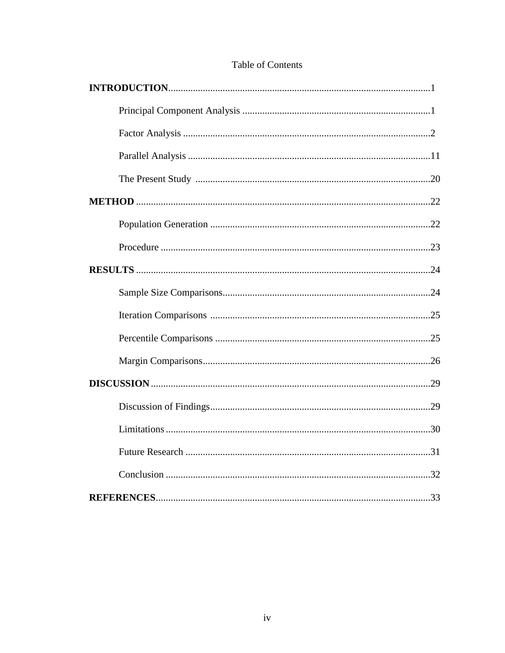## Table of Contents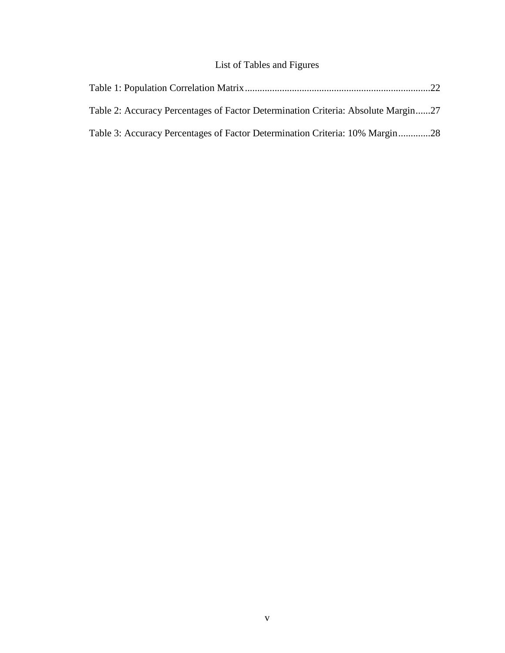## List of Tables and Figures

| Table 2: Accuracy Percentages of Factor Determination Criteria: Absolute Margin27 |  |
|-----------------------------------------------------------------------------------|--|
| Table 3: Accuracy Percentages of Factor Determination Criteria: 10% Margin28      |  |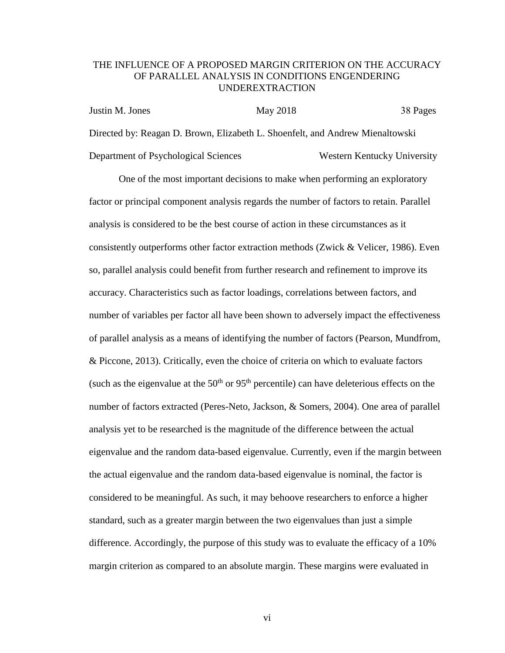## THE INFLUENCE OF A PROPOSED MARGIN CRITERION ON THE ACCURACY OF PARALLEL ANALYSIS IN CONDITIONS ENGENDERING UNDEREXTRACTION

| Justin M. Jones                                                               | May 2018 | 38 Pages                    |
|-------------------------------------------------------------------------------|----------|-----------------------------|
| Directed by: Reagan D. Brown, Elizabeth L. Shoenfelt, and Andrew Mienaltowski |          |                             |
| Department of Psychological Sciences                                          |          | Western Kentucky University |

One of the most important decisions to make when performing an exploratory factor or principal component analysis regards the number of factors to retain. Parallel analysis is considered to be the best course of action in these circumstances as it consistently outperforms other factor extraction methods (Zwick & Velicer, 1986). Even so, parallel analysis could benefit from further research and refinement to improve its accuracy. Characteristics such as factor loadings, correlations between factors, and number of variables per factor all have been shown to adversely impact the effectiveness of parallel analysis as a means of identifying the number of factors (Pearson, Mundfrom, & Piccone, 2013). Critically, even the choice of criteria on which to evaluate factors (such as the eigenvalue at the  $50<sup>th</sup>$  or  $95<sup>th</sup>$  percentile) can have deleterious effects on the number of factors extracted (Peres-Neto, Jackson, & Somers, 2004). One area of parallel analysis yet to be researched is the magnitude of the difference between the actual eigenvalue and the random data-based eigenvalue. Currently, even if the margin between the actual eigenvalue and the random data-based eigenvalue is nominal, the factor is considered to be meaningful. As such, it may behoove researchers to enforce a higher standard, such as a greater margin between the two eigenvalues than just a simple difference. Accordingly, the purpose of this study was to evaluate the efficacy of a 10% margin criterion as compared to an absolute margin. These margins were evaluated in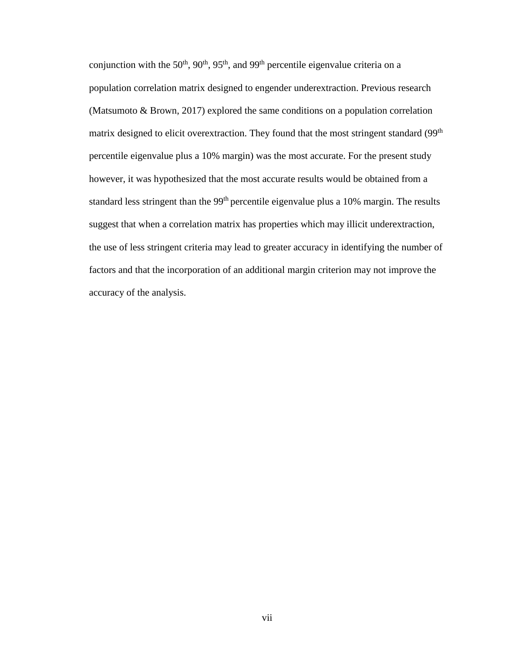conjunction with the  $50<sup>th</sup>$ ,  $90<sup>th</sup>$ ,  $95<sup>th</sup>$ , and  $99<sup>th</sup>$  percentile eigenvalue criteria on a population correlation matrix designed to engender underextraction. Previous research (Matsumoto & Brown, 2017) explored the same conditions on a population correlation matrix designed to elicit overextraction. They found that the most stringent standard (99<sup>th</sup>) percentile eigenvalue plus a 10% margin) was the most accurate. For the present study however, it was hypothesized that the most accurate results would be obtained from a standard less stringent than the 99<sup>th</sup> percentile eigenvalue plus a 10% margin. The results suggest that when a correlation matrix has properties which may illicit underextraction, the use of less stringent criteria may lead to greater accuracy in identifying the number of factors and that the incorporation of an additional margin criterion may not improve the accuracy of the analysis.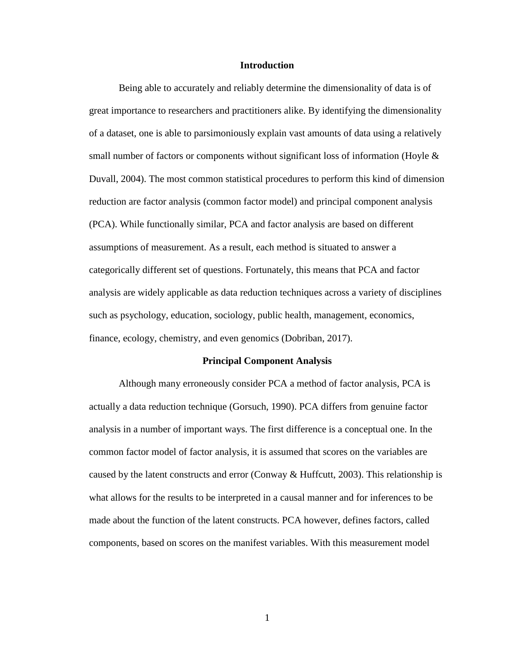#### **Introduction**

Being able to accurately and reliably determine the dimensionality of data is of great importance to researchers and practitioners alike. By identifying the dimensionality of a dataset, one is able to parsimoniously explain vast amounts of data using a relatively small number of factors or components without significant loss of information (Hoyle  $\&$ Duvall, 2004). The most common statistical procedures to perform this kind of dimension reduction are factor analysis (common factor model) and principal component analysis (PCA). While functionally similar, PCA and factor analysis are based on different assumptions of measurement. As a result, each method is situated to answer a categorically different set of questions. Fortunately, this means that PCA and factor analysis are widely applicable as data reduction techniques across a variety of disciplines such as psychology, education, sociology, public health, management, economics, finance, ecology, chemistry, and even genomics (Dobriban, 2017).

#### **Principal Component Analysis**

Although many erroneously consider PCA a method of factor analysis, PCA is actually a data reduction technique (Gorsuch, 1990). PCA differs from genuine factor analysis in a number of important ways. The first difference is a conceptual one. In the common factor model of factor analysis, it is assumed that scores on the variables are caused by the latent constructs and error (Conway & Huffcutt, 2003). This relationship is what allows for the results to be interpreted in a causal manner and for inferences to be made about the function of the latent constructs. PCA however, defines factors, called components, based on scores on the manifest variables. With this measurement model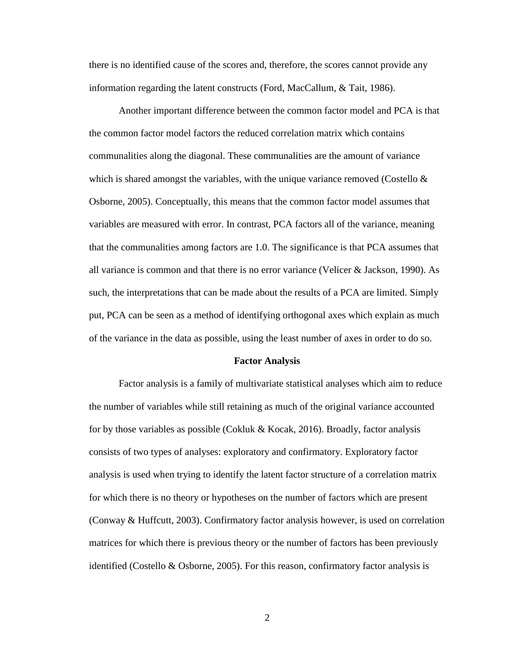there is no identified cause of the scores and, therefore, the scores cannot provide any information regarding the latent constructs (Ford, MacCallum, & Tait, 1986).

Another important difference between the common factor model and PCA is that the common factor model factors the reduced correlation matrix which contains communalities along the diagonal. These communalities are the amount of variance which is shared amongst the variables, with the unique variance removed (Costello  $\&$ Osborne, 2005). Conceptually, this means that the common factor model assumes that variables are measured with error. In contrast, PCA factors all of the variance, meaning that the communalities among factors are 1.0. The significance is that PCA assumes that all variance is common and that there is no error variance (Velicer & Jackson, 1990). As such, the interpretations that can be made about the results of a PCA are limited. Simply put, PCA can be seen as a method of identifying orthogonal axes which explain as much of the variance in the data as possible, using the least number of axes in order to do so.

#### **Factor Analysis**

Factor analysis is a family of multivariate statistical analyses which aim to reduce the number of variables while still retaining as much of the original variance accounted for by those variables as possible (Cokluk  $& Kocak$ , 2016). Broadly, factor analysis consists of two types of analyses: exploratory and confirmatory. Exploratory factor analysis is used when trying to identify the latent factor structure of a correlation matrix for which there is no theory or hypotheses on the number of factors which are present (Conway & Huffcutt, 2003). Confirmatory factor analysis however, is used on correlation matrices for which there is previous theory or the number of factors has been previously identified (Costello & Osborne, 2005). For this reason, confirmatory factor analysis is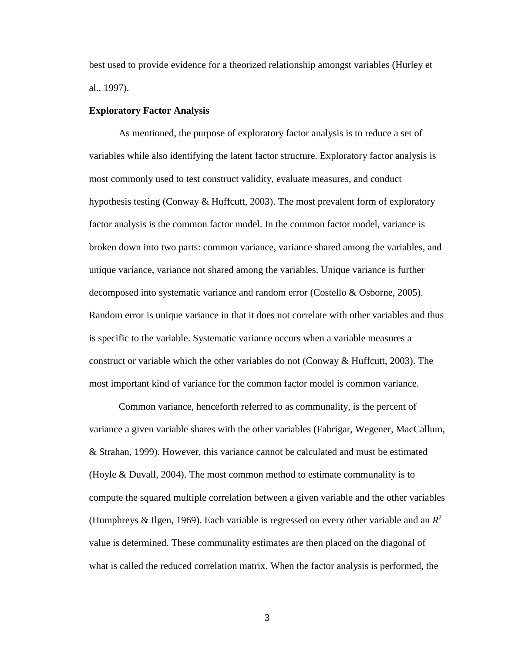best used to provide evidence for a theorized relationship amongst variables (Hurley et al., 1997).

#### **Exploratory Factor Analysis**

As mentioned, the purpose of exploratory factor analysis is to reduce a set of variables while also identifying the latent factor structure. Exploratory factor analysis is most commonly used to test construct validity, evaluate measures, and conduct hypothesis testing (Conway  $\&$  Huffcutt, 2003). The most prevalent form of exploratory factor analysis is the common factor model. In the common factor model, variance is broken down into two parts: common variance, variance shared among the variables, and unique variance, variance not shared among the variables. Unique variance is further decomposed into systematic variance and random error (Costello & Osborne, 2005). Random error is unique variance in that it does not correlate with other variables and thus is specific to the variable. Systematic variance occurs when a variable measures a construct or variable which the other variables do not (Conway & Huffcutt, 2003). The most important kind of variance for the common factor model is common variance.

Common variance, henceforth referred to as communality, is the percent of variance a given variable shares with the other variables (Fabrigar, Wegener, MacCallum, & Strahan, 1999). However, this variance cannot be calculated and must be estimated (Hoyle & Duvall, 2004). The most common method to estimate communality is to compute the squared multiple correlation between a given variable and the other variables (Humphreys & Ilgen, 1969). Each variable is regressed on every other variable and an  $R^2$ value is determined. These communality estimates are then placed on the diagonal of what is called the reduced correlation matrix. When the factor analysis is performed, the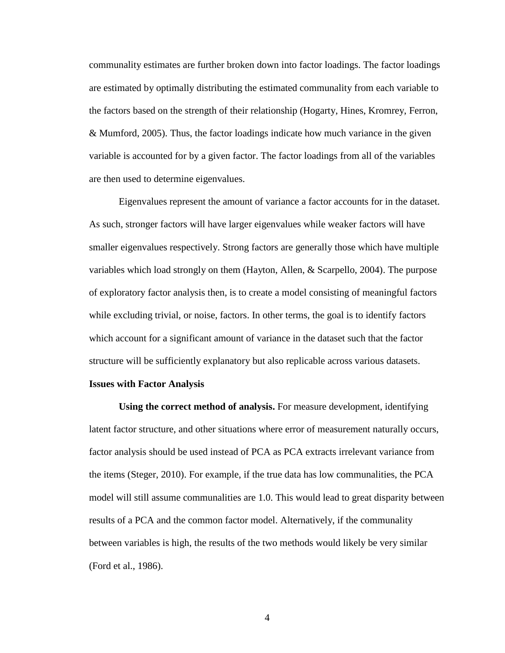communality estimates are further broken down into factor loadings. The factor loadings are estimated by optimally distributing the estimated communality from each variable to the factors based on the strength of their relationship (Hogarty, Hines, Kromrey, Ferron, & Mumford, 2005). Thus, the factor loadings indicate how much variance in the given variable is accounted for by a given factor. The factor loadings from all of the variables are then used to determine eigenvalues.

Eigenvalues represent the amount of variance a factor accounts for in the dataset. As such, stronger factors will have larger eigenvalues while weaker factors will have smaller eigenvalues respectively. Strong factors are generally those which have multiple variables which load strongly on them (Hayton, Allen, & Scarpello, 2004). The purpose of exploratory factor analysis then, is to create a model consisting of meaningful factors while excluding trivial, or noise, factors. In other terms, the goal is to identify factors which account for a significant amount of variance in the dataset such that the factor structure will be sufficiently explanatory but also replicable across various datasets.

#### **Issues with Factor Analysis**

**Using the correct method of analysis.** For measure development, identifying latent factor structure, and other situations where error of measurement naturally occurs, factor analysis should be used instead of PCA as PCA extracts irrelevant variance from the items (Steger, 2010). For example, if the true data has low communalities, the PCA model will still assume communalities are 1.0. This would lead to great disparity between results of a PCA and the common factor model. Alternatively, if the communality between variables is high, the results of the two methods would likely be very similar (Ford et al., 1986).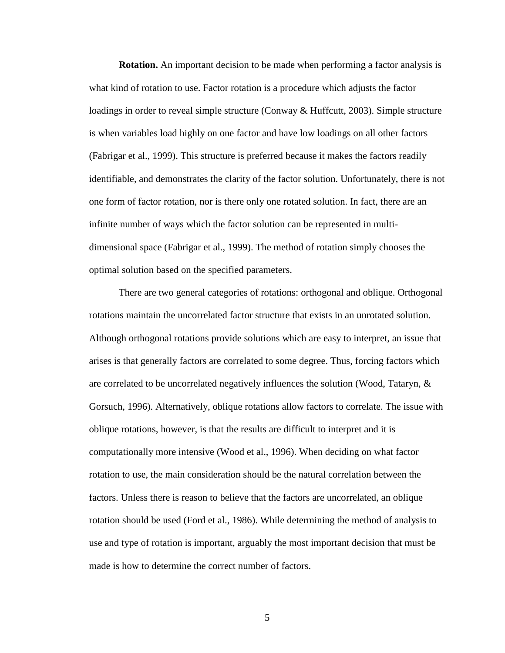**Rotation.** An important decision to be made when performing a factor analysis is what kind of rotation to use. Factor rotation is a procedure which adjusts the factor loadings in order to reveal simple structure (Conway & Huffcutt, 2003). Simple structure is when variables load highly on one factor and have low loadings on all other factors (Fabrigar et al., 1999). This structure is preferred because it makes the factors readily identifiable, and demonstrates the clarity of the factor solution. Unfortunately, there is not one form of factor rotation, nor is there only one rotated solution. In fact, there are an infinite number of ways which the factor solution can be represented in multidimensional space (Fabrigar et al., 1999). The method of rotation simply chooses the optimal solution based on the specified parameters.

There are two general categories of rotations: orthogonal and oblique. Orthogonal rotations maintain the uncorrelated factor structure that exists in an unrotated solution. Although orthogonal rotations provide solutions which are easy to interpret, an issue that arises is that generally factors are correlated to some degree. Thus, forcing factors which are correlated to be uncorrelated negatively influences the solution (Wood, Tataryn, & Gorsuch, 1996). Alternatively, oblique rotations allow factors to correlate. The issue with oblique rotations, however, is that the results are difficult to interpret and it is computationally more intensive (Wood et al., 1996). When deciding on what factor rotation to use, the main consideration should be the natural correlation between the factors. Unless there is reason to believe that the factors are uncorrelated, an oblique rotation should be used (Ford et al., 1986). While determining the method of analysis to use and type of rotation is important, arguably the most important decision that must be made is how to determine the correct number of factors.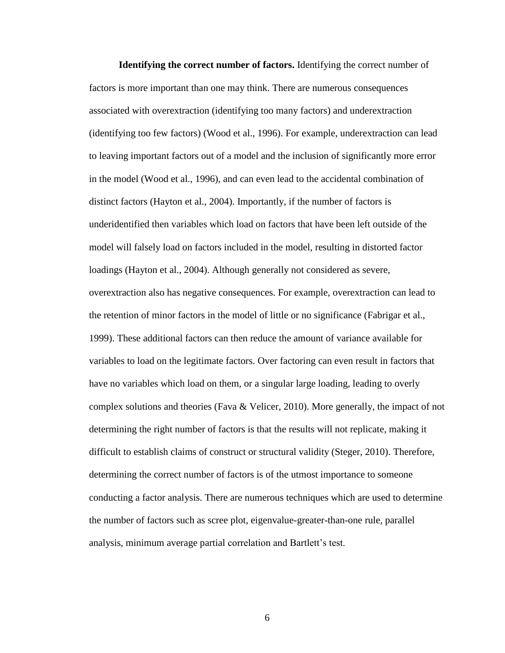**Identifying the correct number of factors.** Identifying the correct number of factors is more important than one may think. There are numerous consequences associated with overextraction (identifying too many factors) and underextraction (identifying too few factors) (Wood et al., 1996). For example, underextraction can lead to leaving important factors out of a model and the inclusion of significantly more error in the model (Wood et al., 1996), and can even lead to the accidental combination of distinct factors (Hayton et al., 2004). Importantly, if the number of factors is underidentified then variables which load on factors that have been left outside of the model will falsely load on factors included in the model, resulting in distorted factor loadings (Hayton et al., 2004). Although generally not considered as severe, overextraction also has negative consequences. For example, overextraction can lead to the retention of minor factors in the model of little or no significance (Fabrigar et al., 1999). These additional factors can then reduce the amount of variance available for variables to load on the legitimate factors. Over factoring can even result in factors that have no variables which load on them, or a singular large loading, leading to overly complex solutions and theories (Fava & Velicer, 2010). More generally, the impact of not determining the right number of factors is that the results will not replicate, making it difficult to establish claims of construct or structural validity (Steger, 2010). Therefore, determining the correct number of factors is of the utmost importance to someone conducting a factor analysis. There are numerous techniques which are used to determine the number of factors such as scree plot, eigenvalue-greater-than-one rule, parallel analysis, minimum average partial correlation and Bartlett's test.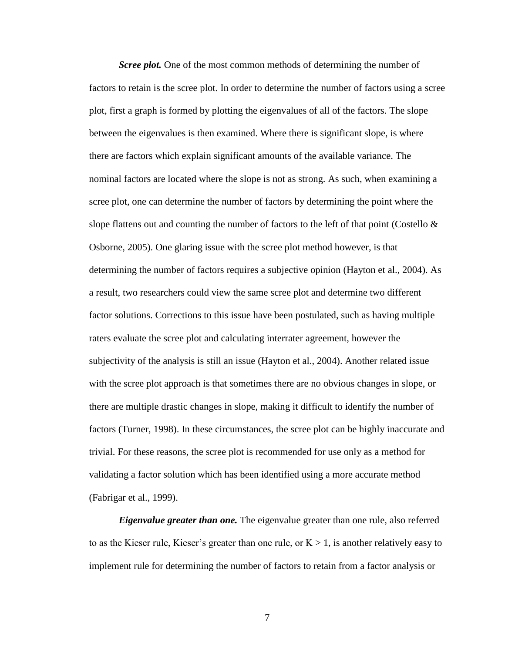*Scree plot.* One of the most common methods of determining the number of factors to retain is the scree plot. In order to determine the number of factors using a scree plot, first a graph is formed by plotting the eigenvalues of all of the factors. The slope between the eigenvalues is then examined. Where there is significant slope, is where there are factors which explain significant amounts of the available variance. The nominal factors are located where the slope is not as strong. As such, when examining a scree plot, one can determine the number of factors by determining the point where the slope flattens out and counting the number of factors to the left of that point (Costello  $\&$ Osborne, 2005). One glaring issue with the scree plot method however, is that determining the number of factors requires a subjective opinion (Hayton et al., 2004). As a result, two researchers could view the same scree plot and determine two different factor solutions. Corrections to this issue have been postulated, such as having multiple raters evaluate the scree plot and calculating interrater agreement, however the subjectivity of the analysis is still an issue (Hayton et al., 2004). Another related issue with the scree plot approach is that sometimes there are no obvious changes in slope, or there are multiple drastic changes in slope, making it difficult to identify the number of factors (Turner, 1998). In these circumstances, the scree plot can be highly inaccurate and trivial. For these reasons, the scree plot is recommended for use only as a method for validating a factor solution which has been identified using a more accurate method (Fabrigar et al., 1999).

*Eigenvalue greater than one.* The eigenvalue greater than one rule, also referred to as the Kieser rule, Kieser's greater than one rule, or  $K > 1$ , is another relatively easy to implement rule for determining the number of factors to retain from a factor analysis or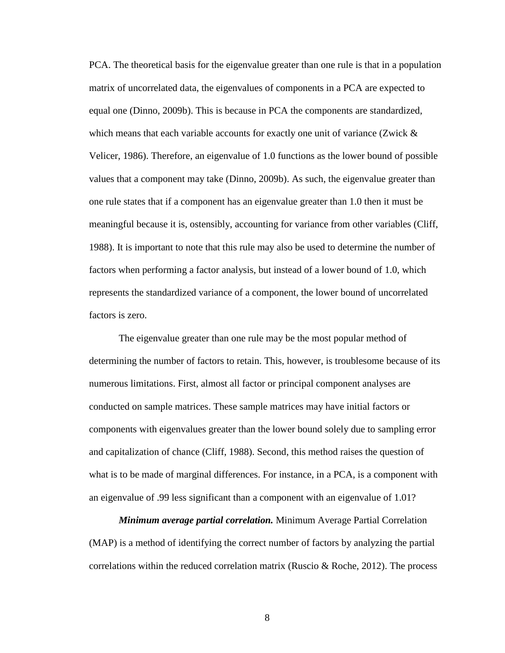PCA. The theoretical basis for the eigenvalue greater than one rule is that in a population matrix of uncorrelated data, the eigenvalues of components in a PCA are expected to equal one (Dinno, 2009b). This is because in PCA the components are standardized, which means that each variable accounts for exactly one unit of variance (Zwick  $\&$ Velicer, 1986). Therefore, an eigenvalue of 1.0 functions as the lower bound of possible values that a component may take (Dinno, 2009b). As such, the eigenvalue greater than one rule states that if a component has an eigenvalue greater than 1.0 then it must be meaningful because it is, ostensibly, accounting for variance from other variables (Cliff, 1988). It is important to note that this rule may also be used to determine the number of factors when performing a factor analysis, but instead of a lower bound of 1.0, which represents the standardized variance of a component, the lower bound of uncorrelated factors is zero.

The eigenvalue greater than one rule may be the most popular method of determining the number of factors to retain. This, however, is troublesome because of its numerous limitations. First, almost all factor or principal component analyses are conducted on sample matrices. These sample matrices may have initial factors or components with eigenvalues greater than the lower bound solely due to sampling error and capitalization of chance (Cliff, 1988). Second, this method raises the question of what is to be made of marginal differences. For instance, in a PCA, is a component with an eigenvalue of .99 less significant than a component with an eigenvalue of 1.01?

*Minimum average partial correlation.* Minimum Average Partial Correlation (MAP) is a method of identifying the correct number of factors by analyzing the partial correlations within the reduced correlation matrix (Ruscio & Roche, 2012). The process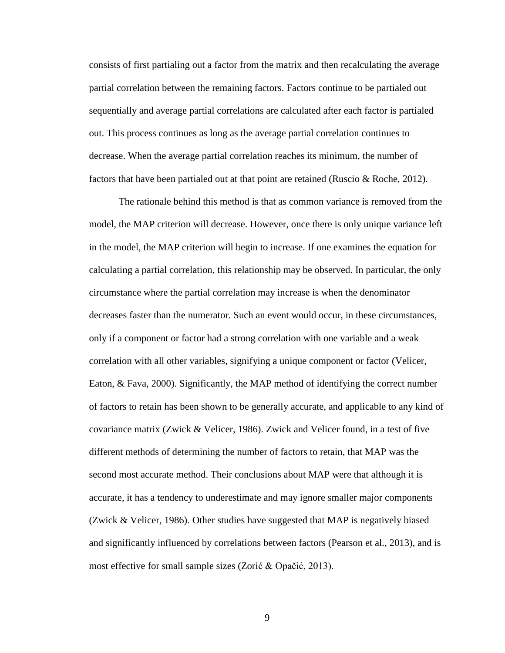consists of first partialing out a factor from the matrix and then recalculating the average partial correlation between the remaining factors. Factors continue to be partialed out sequentially and average partial correlations are calculated after each factor is partialed out. This process continues as long as the average partial correlation continues to decrease. When the average partial correlation reaches its minimum, the number of factors that have been partialed out at that point are retained (Ruscio & Roche, 2012).

The rationale behind this method is that as common variance is removed from the model, the MAP criterion will decrease. However, once there is only unique variance left in the model, the MAP criterion will begin to increase. If one examines the equation for calculating a partial correlation, this relationship may be observed. In particular, the only circumstance where the partial correlation may increase is when the denominator decreases faster than the numerator. Such an event would occur, in these circumstances, only if a component or factor had a strong correlation with one variable and a weak correlation with all other variables, signifying a unique component or factor (Velicer, Eaton, & Fava, 2000). Significantly, the MAP method of identifying the correct number of factors to retain has been shown to be generally accurate, and applicable to any kind of covariance matrix (Zwick & Velicer, 1986). Zwick and Velicer found, in a test of five different methods of determining the number of factors to retain, that MAP was the second most accurate method. Their conclusions about MAP were that although it is accurate, it has a tendency to underestimate and may ignore smaller major components (Zwick & Velicer, 1986). Other studies have suggested that MAP is negatively biased and significantly influenced by correlations between factors (Pearson et al., 2013), and is most effective for small sample sizes (Zorić & Opačić, 2013).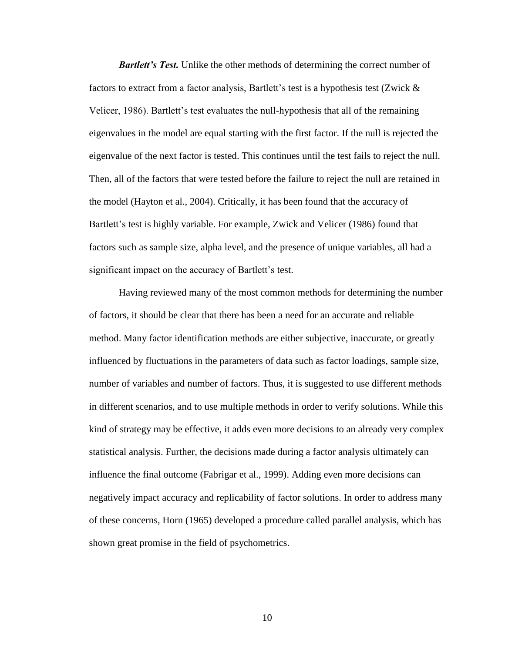*Bartlett's Test.* Unlike the other methods of determining the correct number of factors to extract from a factor analysis, Bartlett's test is a hypothesis test (Zwick & Velicer, 1986). Bartlett's test evaluates the null-hypothesis that all of the remaining eigenvalues in the model are equal starting with the first factor. If the null is rejected the eigenvalue of the next factor is tested. This continues until the test fails to reject the null. Then, all of the factors that were tested before the failure to reject the null are retained in the model (Hayton et al., 2004). Critically, it has been found that the accuracy of Bartlett's test is highly variable. For example, Zwick and Velicer (1986) found that factors such as sample size, alpha level, and the presence of unique variables, all had a significant impact on the accuracy of Bartlett's test.

Having reviewed many of the most common methods for determining the number of factors, it should be clear that there has been a need for an accurate and reliable method. Many factor identification methods are either subjective, inaccurate, or greatly influenced by fluctuations in the parameters of data such as factor loadings, sample size, number of variables and number of factors. Thus, it is suggested to use different methods in different scenarios, and to use multiple methods in order to verify solutions. While this kind of strategy may be effective, it adds even more decisions to an already very complex statistical analysis. Further, the decisions made during a factor analysis ultimately can influence the final outcome (Fabrigar et al., 1999). Adding even more decisions can negatively impact accuracy and replicability of factor solutions. In order to address many of these concerns, Horn (1965) developed a procedure called parallel analysis, which has shown great promise in the field of psychometrics.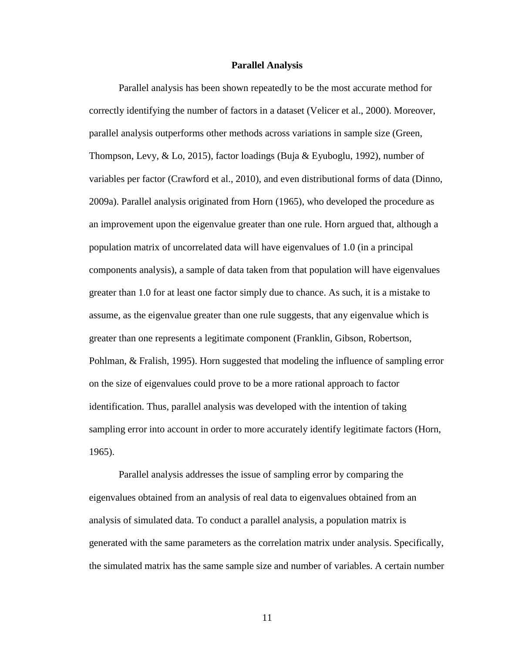#### **Parallel Analysis**

Parallel analysis has been shown repeatedly to be the most accurate method for correctly identifying the number of factors in a dataset (Velicer et al., 2000). Moreover, parallel analysis outperforms other methods across variations in sample size (Green, Thompson, Levy, & Lo, 2015), factor loadings (Buja & Eyuboglu, 1992), number of variables per factor (Crawford et al., 2010), and even distributional forms of data (Dinno, 2009a). Parallel analysis originated from Horn (1965), who developed the procedure as an improvement upon the eigenvalue greater than one rule. Horn argued that, although a population matrix of uncorrelated data will have eigenvalues of 1.0 (in a principal components analysis), a sample of data taken from that population will have eigenvalues greater than 1.0 for at least one factor simply due to chance. As such, it is a mistake to assume, as the eigenvalue greater than one rule suggests, that any eigenvalue which is greater than one represents a legitimate component (Franklin, Gibson, Robertson, Pohlman, & Fralish, 1995). Horn suggested that modeling the influence of sampling error on the size of eigenvalues could prove to be a more rational approach to factor identification. Thus, parallel analysis was developed with the intention of taking sampling error into account in order to more accurately identify legitimate factors (Horn, 1965).

Parallel analysis addresses the issue of sampling error by comparing the eigenvalues obtained from an analysis of real data to eigenvalues obtained from an analysis of simulated data. To conduct a parallel analysis, a population matrix is generated with the same parameters as the correlation matrix under analysis. Specifically, the simulated matrix has the same sample size and number of variables. A certain number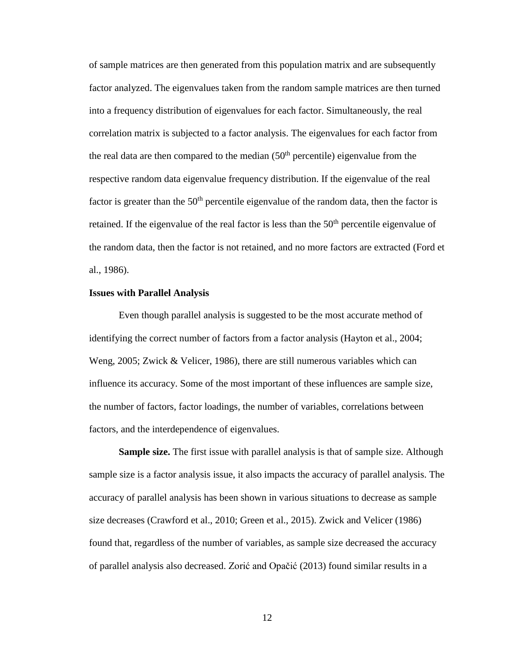of sample matrices are then generated from this population matrix and are subsequently factor analyzed. The eigenvalues taken from the random sample matrices are then turned into a frequency distribution of eigenvalues for each factor. Simultaneously, the real correlation matrix is subjected to a factor analysis. The eigenvalues for each factor from the real data are then compared to the median  $(50<sup>th</sup>$  percentile) eigenvalue from the respective random data eigenvalue frequency distribution. If the eigenvalue of the real factor is greater than the  $50<sup>th</sup>$  percentile eigenvalue of the random data, then the factor is retained. If the eigenvalue of the real factor is less than the  $50<sup>th</sup>$  percentile eigenvalue of the random data, then the factor is not retained, and no more factors are extracted (Ford et al., 1986).

#### **Issues with Parallel Analysis**

Even though parallel analysis is suggested to be the most accurate method of identifying the correct number of factors from a factor analysis (Hayton et al., 2004; Weng, 2005; Zwick & Velicer, 1986), there are still numerous variables which can influence its accuracy. Some of the most important of these influences are sample size, the number of factors, factor loadings, the number of variables, correlations between factors, and the interdependence of eigenvalues.

**Sample size.** The first issue with parallel analysis is that of sample size. Although sample size is a factor analysis issue, it also impacts the accuracy of parallel analysis. The accuracy of parallel analysis has been shown in various situations to decrease as sample size decreases (Crawford et al., 2010; Green et al., 2015). Zwick and Velicer (1986) found that, regardless of the number of variables, as sample size decreased the accuracy of parallel analysis also decreased. Zorić and Opačić (2013) found similar results in a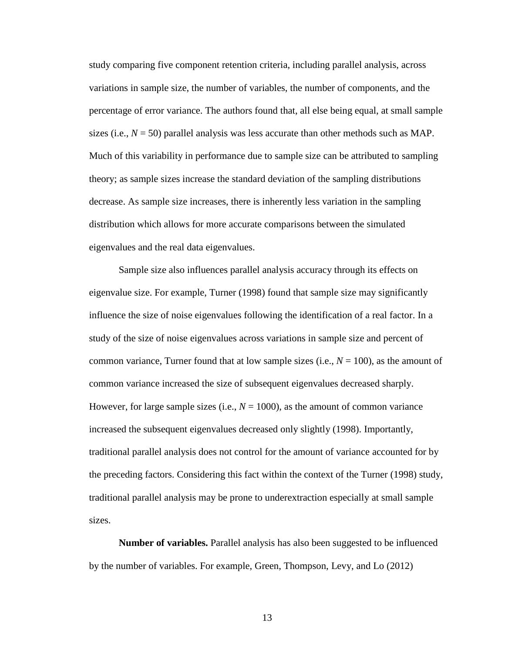study comparing five component retention criteria, including parallel analysis, across variations in sample size, the number of variables, the number of components, and the percentage of error variance. The authors found that, all else being equal, at small sample sizes (i.e.,  $N = 50$ ) parallel analysis was less accurate than other methods such as MAP. Much of this variability in performance due to sample size can be attributed to sampling theory; as sample sizes increase the standard deviation of the sampling distributions decrease. As sample size increases, there is inherently less variation in the sampling distribution which allows for more accurate comparisons between the simulated eigenvalues and the real data eigenvalues.

Sample size also influences parallel analysis accuracy through its effects on eigenvalue size. For example, Turner (1998) found that sample size may significantly influence the size of noise eigenvalues following the identification of a real factor. In a study of the size of noise eigenvalues across variations in sample size and percent of common variance, Turner found that at low sample sizes (i.e.,  $N = 100$ ), as the amount of common variance increased the size of subsequent eigenvalues decreased sharply. However, for large sample sizes (i.e.,  $N = 1000$ ), as the amount of common variance increased the subsequent eigenvalues decreased only slightly (1998). Importantly, traditional parallel analysis does not control for the amount of variance accounted for by the preceding factors. Considering this fact within the context of the Turner (1998) study, traditional parallel analysis may be prone to underextraction especially at small sample sizes.

**Number of variables.** Parallel analysis has also been suggested to be influenced by the number of variables. For example, Green, Thompson, Levy, and Lo (2012)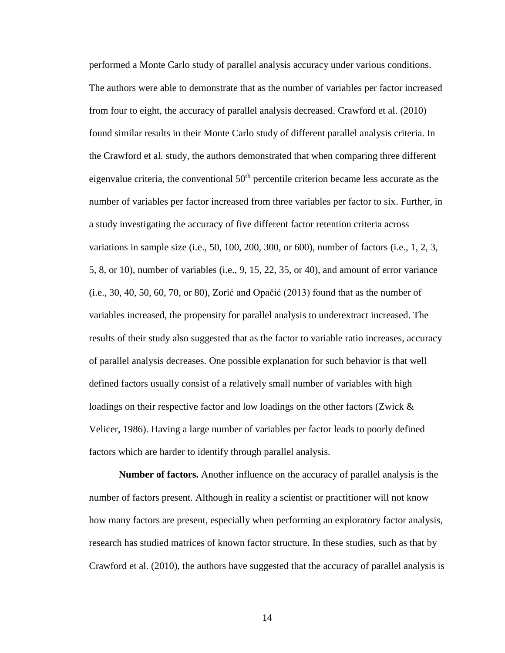performed a Monte Carlo study of parallel analysis accuracy under various conditions. The authors were able to demonstrate that as the number of variables per factor increased from four to eight, the accuracy of parallel analysis decreased. Crawford et al. (2010) found similar results in their Monte Carlo study of different parallel analysis criteria. In the Crawford et al. study, the authors demonstrated that when comparing three different eigenvalue criteria, the conventional  $50<sup>th</sup>$  percentile criterion became less accurate as the number of variables per factor increased from three variables per factor to six. Further, in a study investigating the accuracy of five different factor retention criteria across variations in sample size (i.e., 50, 100, 200, 300, or 600), number of factors (i.e., 1, 2, 3, 5, 8, or 10), number of variables (i.e., 9, 15, 22, 35, or 40), and amount of error variance (i.e., 30, 40, 50, 60, 70, or 80), Zorić and Opačić (2013) found that as the number of variables increased, the propensity for parallel analysis to underextract increased. The results of their study also suggested that as the factor to variable ratio increases, accuracy of parallel analysis decreases. One possible explanation for such behavior is that well defined factors usually consist of a relatively small number of variables with high loadings on their respective factor and low loadings on the other factors (Zwick & Velicer, 1986). Having a large number of variables per factor leads to poorly defined factors which are harder to identify through parallel analysis.

**Number of factors.** Another influence on the accuracy of parallel analysis is the number of factors present. Although in reality a scientist or practitioner will not know how many factors are present, especially when performing an exploratory factor analysis, research has studied matrices of known factor structure. In these studies, such as that by Crawford et al. (2010), the authors have suggested that the accuracy of parallel analysis is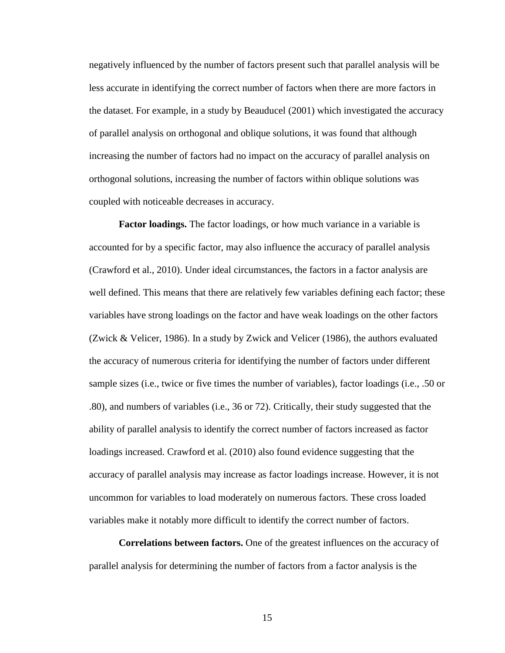negatively influenced by the number of factors present such that parallel analysis will be less accurate in identifying the correct number of factors when there are more factors in the dataset. For example, in a study by Beauducel (2001) which investigated the accuracy of parallel analysis on orthogonal and oblique solutions, it was found that although increasing the number of factors had no impact on the accuracy of parallel analysis on orthogonal solutions, increasing the number of factors within oblique solutions was coupled with noticeable decreases in accuracy.

**Factor loadings.** The factor loadings, or how much variance in a variable is accounted for by a specific factor, may also influence the accuracy of parallel analysis (Crawford et al., 2010). Under ideal circumstances, the factors in a factor analysis are well defined. This means that there are relatively few variables defining each factor; these variables have strong loadings on the factor and have weak loadings on the other factors (Zwick & Velicer, 1986). In a study by Zwick and Velicer (1986), the authors evaluated the accuracy of numerous criteria for identifying the number of factors under different sample sizes (i.e., twice or five times the number of variables), factor loadings (i.e., .50 or .80), and numbers of variables (i.e., 36 or 72). Critically, their study suggested that the ability of parallel analysis to identify the correct number of factors increased as factor loadings increased. Crawford et al. (2010) also found evidence suggesting that the accuracy of parallel analysis may increase as factor loadings increase. However, it is not uncommon for variables to load moderately on numerous factors. These cross loaded variables make it notably more difficult to identify the correct number of factors.

**Correlations between factors.** One of the greatest influences on the accuracy of parallel analysis for determining the number of factors from a factor analysis is the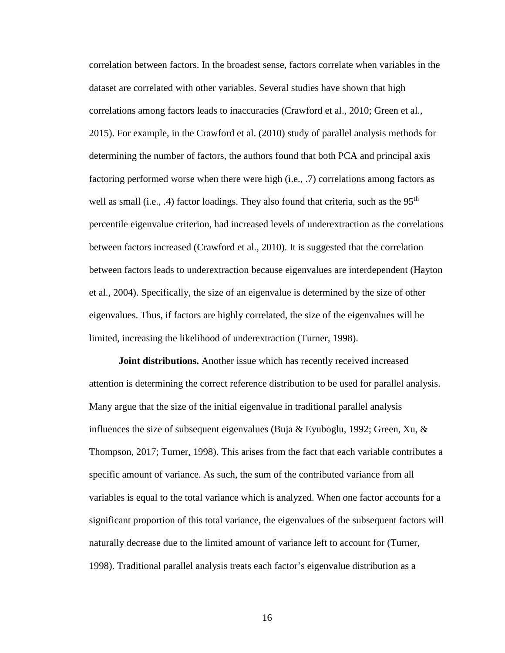correlation between factors. In the broadest sense, factors correlate when variables in the dataset are correlated with other variables. Several studies have shown that high correlations among factors leads to inaccuracies (Crawford et al., 2010; Green et al., 2015). For example, in the Crawford et al. (2010) study of parallel analysis methods for determining the number of factors, the authors found that both PCA and principal axis factoring performed worse when there were high (i.e., .7) correlations among factors as well as small (i.e., .4) factor loadings. They also found that criteria, such as the  $95<sup>th</sup>$ percentile eigenvalue criterion, had increased levels of underextraction as the correlations between factors increased (Crawford et al., 2010). It is suggested that the correlation between factors leads to underextraction because eigenvalues are interdependent (Hayton et al., 2004). Specifically, the size of an eigenvalue is determined by the size of other eigenvalues. Thus, if factors are highly correlated, the size of the eigenvalues will be limited, increasing the likelihood of underextraction (Turner, 1998).

**Joint distributions.** Another issue which has recently received increased attention is determining the correct reference distribution to be used for parallel analysis. Many argue that the size of the initial eigenvalue in traditional parallel analysis influences the size of subsequent eigenvalues (Buja & Eyuboglu, 1992; Green, Xu, & Thompson, 2017; Turner, 1998). This arises from the fact that each variable contributes a specific amount of variance. As such, the sum of the contributed variance from all variables is equal to the total variance which is analyzed. When one factor accounts for a significant proportion of this total variance, the eigenvalues of the subsequent factors will naturally decrease due to the limited amount of variance left to account for (Turner, 1998). Traditional parallel analysis treats each factor's eigenvalue distribution as a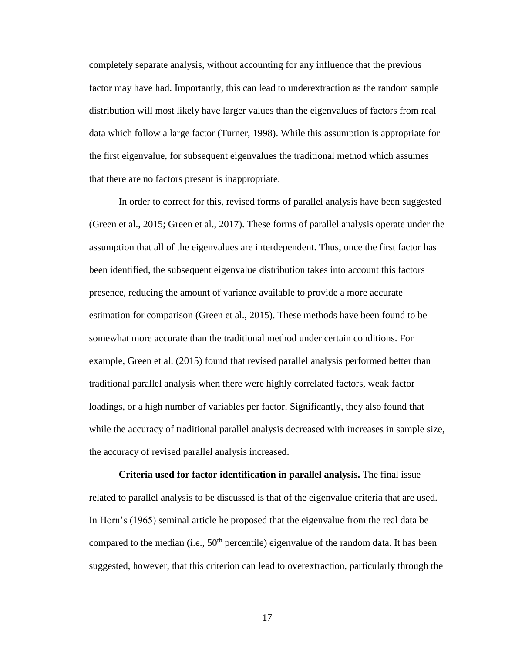completely separate analysis, without accounting for any influence that the previous factor may have had. Importantly, this can lead to underextraction as the random sample distribution will most likely have larger values than the eigenvalues of factors from real data which follow a large factor (Turner, 1998). While this assumption is appropriate for the first eigenvalue, for subsequent eigenvalues the traditional method which assumes that there are no factors present is inappropriate.

In order to correct for this, revised forms of parallel analysis have been suggested (Green et al., 2015; Green et al., 2017). These forms of parallel analysis operate under the assumption that all of the eigenvalues are interdependent. Thus, once the first factor has been identified, the subsequent eigenvalue distribution takes into account this factors presence, reducing the amount of variance available to provide a more accurate estimation for comparison (Green et al., 2015). These methods have been found to be somewhat more accurate than the traditional method under certain conditions. For example, Green et al. (2015) found that revised parallel analysis performed better than traditional parallel analysis when there were highly correlated factors, weak factor loadings, or a high number of variables per factor. Significantly, they also found that while the accuracy of traditional parallel analysis decreased with increases in sample size, the accuracy of revised parallel analysis increased.

**Criteria used for factor identification in parallel analysis.** The final issue related to parallel analysis to be discussed is that of the eigenvalue criteria that are used. In Horn's (1965) seminal article he proposed that the eigenvalue from the real data be compared to the median (i.e.,  $50<sup>th</sup>$  percentile) eigenvalue of the random data. It has been suggested, however, that this criterion can lead to overextraction, particularly through the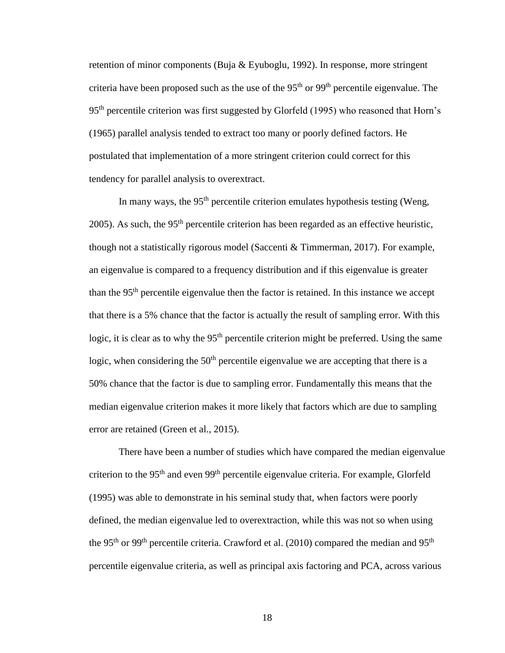retention of minor components (Buja & Eyuboglu, 1992). In response, more stringent criteria have been proposed such as the use of the  $95<sup>th</sup>$  or  $99<sup>th</sup>$  percentile eigenvalue. The 95th percentile criterion was first suggested by Glorfeld (1995) who reasoned that Horn's (1965) parallel analysis tended to extract too many or poorly defined factors. He postulated that implementation of a more stringent criterion could correct for this tendency for parallel analysis to overextract.

In many ways, the  $95<sup>th</sup>$  percentile criterion emulates hypothesis testing (Weng, 2005). As such, the 95<sup>th</sup> percentile criterion has been regarded as an effective heuristic, though not a statistically rigorous model (Saccenti  $&$  Timmerman, 2017). For example, an eigenvalue is compared to a frequency distribution and if this eigenvalue is greater than the  $95<sup>th</sup>$  percentile eigenvalue then the factor is retained. In this instance we accept that there is a 5% chance that the factor is actually the result of sampling error. With this logic, it is clear as to why the 95<sup>th</sup> percentile criterion might be preferred. Using the same logic, when considering the  $50<sup>th</sup>$  percentile eigenvalue we are accepting that there is a 50% chance that the factor is due to sampling error. Fundamentally this means that the median eigenvalue criterion makes it more likely that factors which are due to sampling error are retained (Green et al., 2015).

There have been a number of studies which have compared the median eigenvalue criterion to the 95<sup>th</sup> and even 99<sup>th</sup> percentile eigenvalue criteria. For example, Glorfeld (1995) was able to demonstrate in his seminal study that, when factors were poorly defined, the median eigenvalue led to overextraction, while this was not so when using the 95<sup>th</sup> or 99<sup>th</sup> percentile criteria. Crawford et al. (2010) compared the median and 95<sup>th</sup> percentile eigenvalue criteria, as well as principal axis factoring and PCA, across various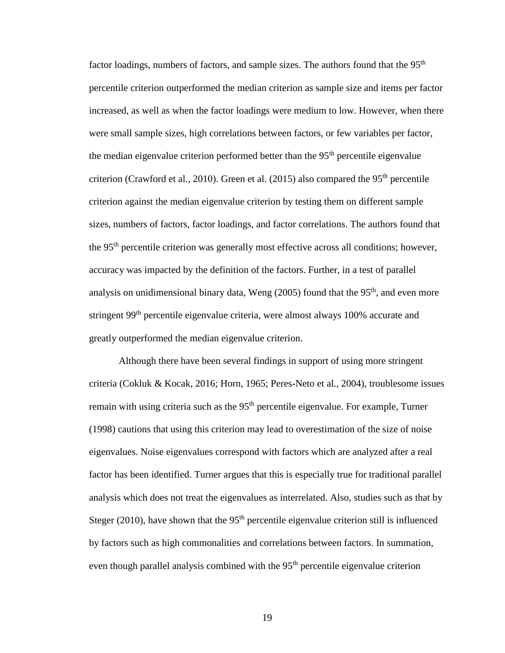factor loadings, numbers of factors, and sample sizes. The authors found that the 95<sup>th</sup> percentile criterion outperformed the median criterion as sample size and items per factor increased, as well as when the factor loadings were medium to low. However, when there were small sample sizes, high correlations between factors, or few variables per factor, the median eigenvalue criterion performed better than the  $95<sup>th</sup>$  percentile eigenvalue criterion (Crawford et al., 2010). Green et al. (2015) also compared the  $95<sup>th</sup>$  percentile criterion against the median eigenvalue criterion by testing them on different sample sizes, numbers of factors, factor loadings, and factor correlations. The authors found that the 95<sup>th</sup> percentile criterion was generally most effective across all conditions; however, accuracy was impacted by the definition of the factors. Further, in a test of parallel analysis on unidimensional binary data, Weng  $(2005)$  found that the 95<sup>th</sup>, and even more stringent 99<sup>th</sup> percentile eigenvalue criteria, were almost always 100% accurate and greatly outperformed the median eigenvalue criterion.

Although there have been several findings in support of using more stringent criteria (Cokluk & Kocak, 2016; Horn, 1965; Peres-Neto et al., 2004), troublesome issues remain with using criteria such as the 95<sup>th</sup> percentile eigenvalue. For example, Turner (1998) cautions that using this criterion may lead to overestimation of the size of noise eigenvalues. Noise eigenvalues correspond with factors which are analyzed after a real factor has been identified. Turner argues that this is especially true for traditional parallel analysis which does not treat the eigenvalues as interrelated. Also, studies such as that by Steger (2010), have shown that the  $95<sup>th</sup>$  percentile eigenvalue criterion still is influenced by factors such as high commonalities and correlations between factors. In summation, even though parallel analysis combined with the  $95<sup>th</sup>$  percentile eigenvalue criterion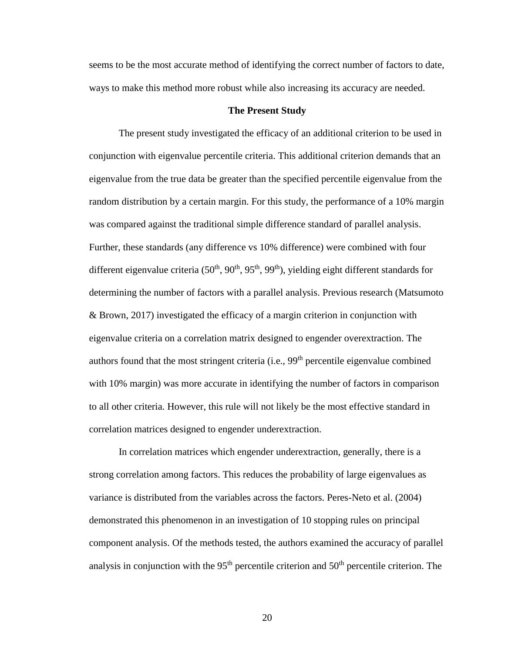seems to be the most accurate method of identifying the correct number of factors to date, ways to make this method more robust while also increasing its accuracy are needed.

## **The Present Study**

The present study investigated the efficacy of an additional criterion to be used in conjunction with eigenvalue percentile criteria. This additional criterion demands that an eigenvalue from the true data be greater than the specified percentile eigenvalue from the random distribution by a certain margin. For this study, the performance of a 10% margin was compared against the traditional simple difference standard of parallel analysis. Further, these standards (any difference vs 10% difference) were combined with four different eigenvalue criteria ( $50<sup>th</sup>$ ,  $90<sup>th</sup>$ ,  $95<sup>th</sup>$ ,  $99<sup>th</sup>$ ), yielding eight different standards for determining the number of factors with a parallel analysis. Previous research (Matsumoto & Brown, 2017) investigated the efficacy of a margin criterion in conjunction with eigenvalue criteria on a correlation matrix designed to engender overextraction. The authors found that the most stringent criteria (i.e.,  $99<sup>th</sup>$  percentile eigenvalue combined with 10% margin) was more accurate in identifying the number of factors in comparison to all other criteria. However, this rule will not likely be the most effective standard in correlation matrices designed to engender underextraction.

In correlation matrices which engender underextraction, generally, there is a strong correlation among factors. This reduces the probability of large eigenvalues as variance is distributed from the variables across the factors. Peres-Neto et al. (2004) demonstrated this phenomenon in an investigation of 10 stopping rules on principal component analysis. Of the methods tested, the authors examined the accuracy of parallel analysis in conjunction with the  $95<sup>th</sup>$  percentile criterion and  $50<sup>th</sup>$  percentile criterion. The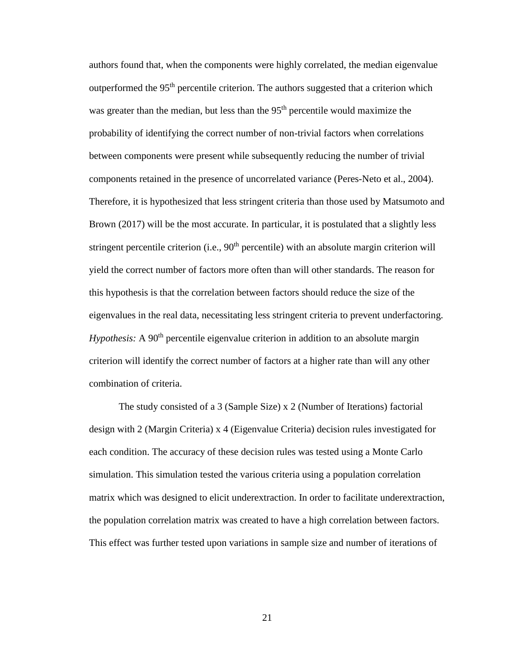authors found that, when the components were highly correlated, the median eigenvalue outperformed the 95<sup>th</sup> percentile criterion. The authors suggested that a criterion which was greater than the median, but less than the 95<sup>th</sup> percentile would maximize the probability of identifying the correct number of non-trivial factors when correlations between components were present while subsequently reducing the number of trivial components retained in the presence of uncorrelated variance (Peres-Neto et al., 2004). Therefore, it is hypothesized that less stringent criteria than those used by Matsumoto and Brown (2017) will be the most accurate. In particular, it is postulated that a slightly less stringent percentile criterion (i.e.,  $90<sup>th</sup>$  percentile) with an absolute margin criterion will yield the correct number of factors more often than will other standards. The reason for this hypothesis is that the correlation between factors should reduce the size of the eigenvalues in the real data, necessitating less stringent criteria to prevent underfactoring. *Hypothesis:* A 90<sup>th</sup> percentile eigenvalue criterion in addition to an absolute margin criterion will identify the correct number of factors at a higher rate than will any other combination of criteria.

The study consisted of a 3 (Sample Size) x 2 (Number of Iterations) factorial design with 2 (Margin Criteria) x 4 (Eigenvalue Criteria) decision rules investigated for each condition. The accuracy of these decision rules was tested using a Monte Carlo simulation. This simulation tested the various criteria using a population correlation matrix which was designed to elicit underextraction. In order to facilitate underextraction, the population correlation matrix was created to have a high correlation between factors. This effect was further tested upon variations in sample size and number of iterations of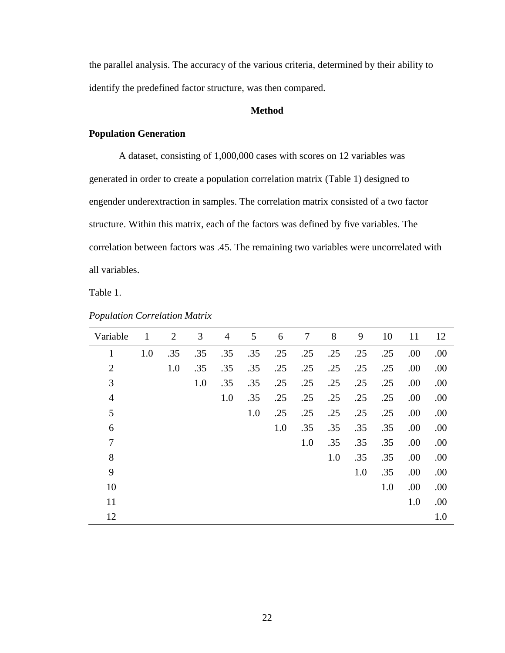the parallel analysis. The accuracy of the various criteria, determined by their ability to identify the predefined factor structure, was then compared.

## **Method**

## **Population Generation**

A dataset, consisting of 1,000,000 cases with scores on 12 variables was generated in order to create a population correlation matrix (Table 1) designed to engender underextraction in samples. The correlation matrix consisted of a two factor structure. Within this matrix, each of the factors was defined by five variables. The correlation between factors was .45. The remaining two variables were uncorrelated with all variables.

Table 1.

| Variable       | $\mathbf{1}$ | 2   | 3   | $\overline{4}$ | 5   | 6   | 7   | 8   | 9   | 10  | 11   | 12   |
|----------------|--------------|-----|-----|----------------|-----|-----|-----|-----|-----|-----|------|------|
| $\mathbf{1}$   | 1.0          | .35 | .35 | .35            | .35 | .25 | .25 | .25 | .25 | .25 | .00  | .00  |
| $\overline{2}$ |              | 1.0 | .35 | .35            | .35 | .25 | .25 | .25 | .25 | .25 | .00. | .00  |
| 3              |              |     | 1.0 | .35            | .35 | .25 | .25 | .25 | .25 | .25 | .00  | .00  |
| $\overline{4}$ |              |     |     | 1.0            | .35 | .25 | .25 | .25 | .25 | .25 | .00  | .00  |
| 5              |              |     |     |                | 1.0 | .25 | .25 | .25 | .25 | .25 | .00  | .00. |
| 6              |              |     |     |                |     | 1.0 | .35 | .35 | .35 | .35 | .00  | .00  |
| 7              |              |     |     |                |     |     | 1.0 | .35 | .35 | .35 | .00. | .00  |
| 8              |              |     |     |                |     |     |     | 1.0 | .35 | .35 | .00  | .00  |
| 9              |              |     |     |                |     |     |     |     | 1.0 | .35 | .00  | .00  |
| 10             |              |     |     |                |     |     |     |     |     | 1.0 | .00  | .00  |
| 11             |              |     |     |                |     |     |     |     |     |     | 1.0  | .00  |
| 12             |              |     |     |                |     |     |     |     |     |     |      | 1.0  |

*Population Correlation Matrix*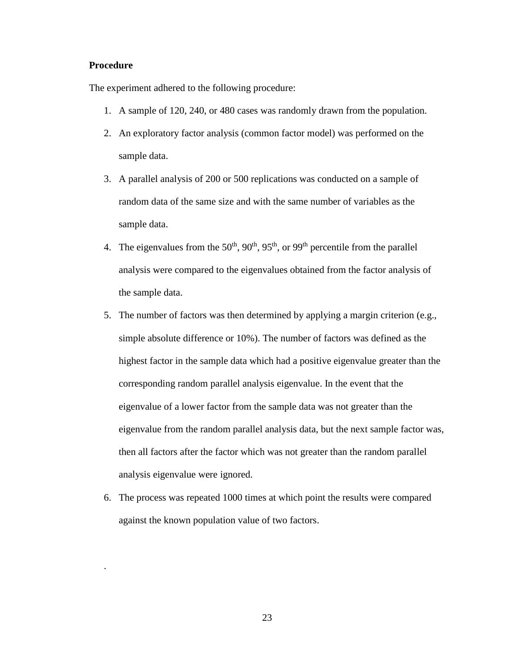## **Procedure**

.

The experiment adhered to the following procedure:

- 1. A sample of 120, 240, or 480 cases was randomly drawn from the population.
- 2. An exploratory factor analysis (common factor model) was performed on the sample data.
- 3. A parallel analysis of 200 or 500 replications was conducted on a sample of random data of the same size and with the same number of variables as the sample data.
- 4. The eigenvalues from the  $50<sup>th</sup>$ ,  $90<sup>th</sup>$ ,  $95<sup>th</sup>$ , or  $99<sup>th</sup>$  percentile from the parallel analysis were compared to the eigenvalues obtained from the factor analysis of the sample data.
- 5. The number of factors was then determined by applying a margin criterion (e.g., simple absolute difference or 10%). The number of factors was defined as the highest factor in the sample data which had a positive eigenvalue greater than the corresponding random parallel analysis eigenvalue. In the event that the eigenvalue of a lower factor from the sample data was not greater than the eigenvalue from the random parallel analysis data, but the next sample factor was, then all factors after the factor which was not greater than the random parallel analysis eigenvalue were ignored.
- 6. The process was repeated 1000 times at which point the results were compared against the known population value of two factors.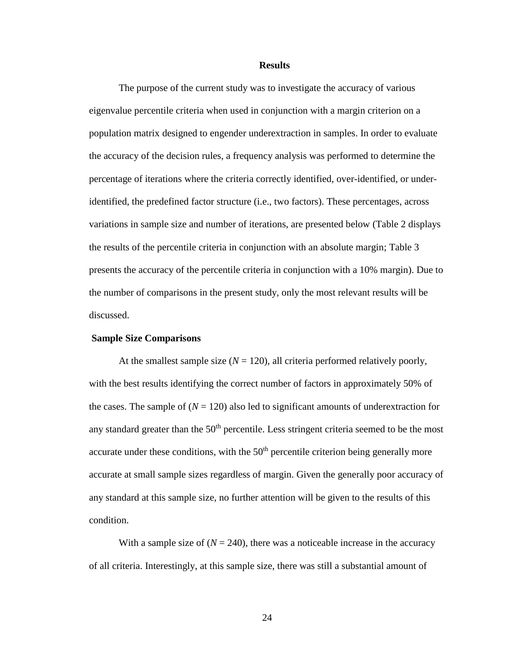#### **Results**

The purpose of the current study was to investigate the accuracy of various eigenvalue percentile criteria when used in conjunction with a margin criterion on a population matrix designed to engender underextraction in samples. In order to evaluate the accuracy of the decision rules, a frequency analysis was performed to determine the percentage of iterations where the criteria correctly identified, over-identified, or underidentified, the predefined factor structure (i.e., two factors). These percentages, across variations in sample size and number of iterations, are presented below (Table 2 displays the results of the percentile criteria in conjunction with an absolute margin; Table 3 presents the accuracy of the percentile criteria in conjunction with a 10% margin). Due to the number of comparisons in the present study, only the most relevant results will be discussed.

#### **Sample Size Comparisons**

At the smallest sample size  $(N = 120)$ , all criteria performed relatively poorly, with the best results identifying the correct number of factors in approximately 50% of the cases. The sample of  $(N = 120)$  also led to significant amounts of underextraction for any standard greater than the  $50<sup>th</sup>$  percentile. Less stringent criteria seemed to be the most accurate under these conditions, with the  $50<sup>th</sup>$  percentile criterion being generally more accurate at small sample sizes regardless of margin. Given the generally poor accuracy of any standard at this sample size, no further attention will be given to the results of this condition.

With a sample size of  $(N = 240)$ , there was a noticeable increase in the accuracy of all criteria. Interestingly, at this sample size, there was still a substantial amount of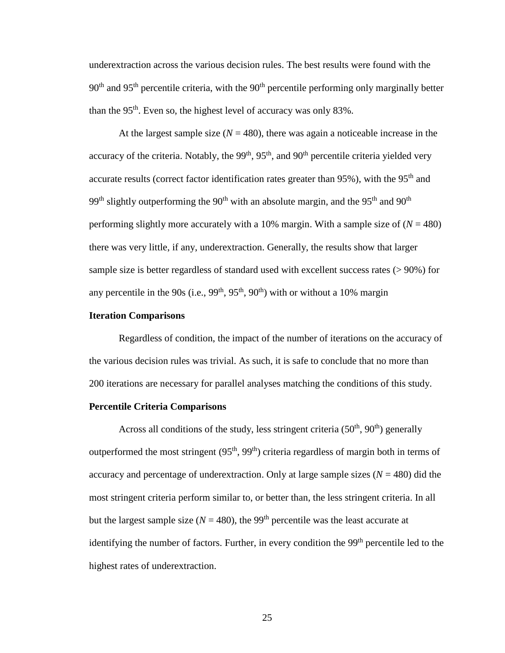underextraction across the various decision rules. The best results were found with the  $90<sup>th</sup>$  and  $95<sup>th</sup>$  percentile criteria, with the  $90<sup>th</sup>$  percentile performing only marginally better than the  $95<sup>th</sup>$ . Even so, the highest level of accuracy was only 83%.

At the largest sample size  $(N = 480)$ , there was again a noticeable increase in the accuracy of the criteria. Notably, the  $99<sup>th</sup>$ ,  $95<sup>th</sup>$ , and  $90<sup>th</sup>$  percentile criteria yielded very accurate results (correct factor identification rates greater than 95%), with the 95<sup>th</sup> and 99<sup>th</sup> slightly outperforming the 90<sup>th</sup> with an absolute margin, and the 95<sup>th</sup> and 90<sup>th</sup> performing slightly more accurately with a 10% margin. With a sample size of  $(N = 480)$ there was very little, if any, underextraction. Generally, the results show that larger sample size is better regardless of standard used with excellent success rates ( $> 90\%$ ) for any percentile in the 90s (i.e.,  $99<sup>th</sup>$ ,  $95<sup>th</sup>$ ,  $90<sup>th</sup>$ ) with or without a 10% margin

## **Iteration Comparisons**

Regardless of condition, the impact of the number of iterations on the accuracy of the various decision rules was trivial. As such, it is safe to conclude that no more than 200 iterations are necessary for parallel analyses matching the conditions of this study.

#### **Percentile Criteria Comparisons**

Across all conditions of the study, less stringent criteria  $(50<sup>th</sup>, 90<sup>th</sup>)$  generally outperformed the most stringent  $(95<sup>th</sup>, 99<sup>th</sup>)$  criteria regardless of margin both in terms of accuracy and percentage of underextraction. Only at large sample sizes  $(N = 480)$  did the most stringent criteria perform similar to, or better than, the less stringent criteria. In all but the largest sample size ( $N = 480$ ), the 99<sup>th</sup> percentile was the least accurate at identifying the number of factors. Further, in every condition the 99<sup>th</sup> percentile led to the highest rates of underextraction.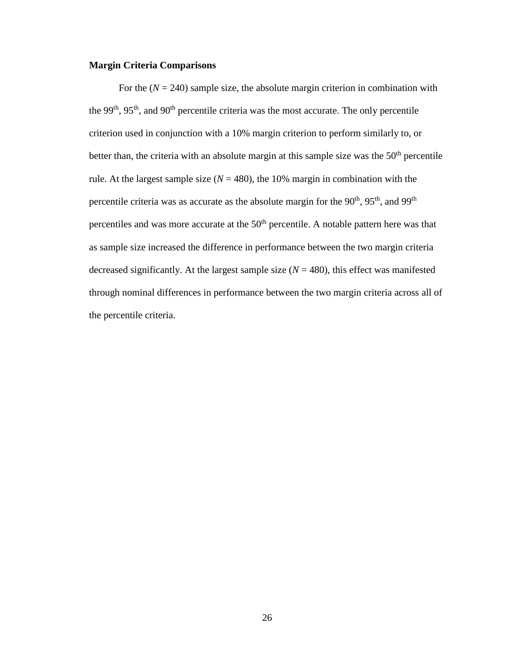## **Margin Criteria Comparisons**

For the  $(N = 240)$  sample size, the absolute margin criterion in combination with the 99<sup>th</sup>, 95<sup>th</sup>, and 90<sup>th</sup> percentile criteria was the most accurate. The only percentile criterion used in conjunction with a 10% margin criterion to perform similarly to, or better than, the criteria with an absolute margin at this sample size was the  $50<sup>th</sup>$  percentile rule. At the largest sample size  $(N = 480)$ , the 10% margin in combination with the percentile criteria was as accurate as the absolute margin for the  $90<sup>th</sup>$ ,  $95<sup>th</sup>$ , and  $99<sup>th</sup>$ percentiles and was more accurate at the 50<sup>th</sup> percentile. A notable pattern here was that as sample size increased the difference in performance between the two margin criteria decreased significantly. At the largest sample size  $(N = 480)$ , this effect was manifested through nominal differences in performance between the two margin criteria across all of the percentile criteria.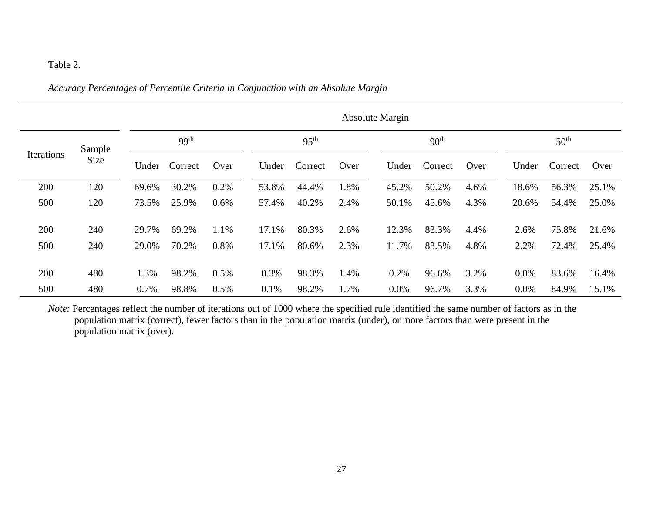## Table 2.

## *Accuracy Percentages of Percentile Criteria in Conjunction with an Absolute Margin*

|                              |     |       | <b>Absolute Margin</b> |      |       |                  |      |         |                  |      |       |                  |       |
|------------------------------|-----|-------|------------------------|------|-------|------------------|------|---------|------------------|------|-------|------------------|-------|
| Sample<br>Iterations<br>Size |     |       | 99 <sup>th</sup>       |      |       | 95 <sup>th</sup> |      |         | 90 <sup>th</sup> |      |       | 50 <sup>th</sup> |       |
|                              |     | Under | Correct                | Over | Under | Correct          | Over | Under   | Correct          | Over | Under | Correct          | Over  |
| 200                          | 120 | 69.6% | 30.2%                  | 0.2% | 53.8% | 44.4%            | 1.8% | 45.2%   | 50.2%            | 4.6% | 18.6% | 56.3%            | 25.1% |
| 500                          | 120 | 73.5% | 25.9%                  | 0.6% | 57.4% | 40.2%            | 2.4% | 50.1%   | 45.6%            | 4.3% | 20.6% | 54.4%            | 25.0% |
| 200                          | 240 | 29.7% | 69.2%                  | 1.1% | 17.1% | 80.3%            | 2.6% | 12.3%   | 83.3%            | 4.4% | 2.6%  | 75.8%            | 21.6% |
| 500                          | 240 | 29.0% | 70.2%                  | 0.8% | 17.1% | 80.6%            | 2.3% | 11.7%   | 83.5%            | 4.8% | 2.2%  | 72.4%            | 25.4% |
| 200                          | 480 | 1.3%  | 98.2%                  | 0.5% | 0.3%  | 98.3%            | 1.4% | 0.2%    | 96.6%            | 3.2% | 0.0%  | 83.6%            | 16.4% |
| 500                          | 480 | 0.7%  | 98.8%                  | 0.5% | 0.1%  | 98.2%            | 1.7% | $0.0\%$ | 96.7%            | 3.3% | 0.0%  | 84.9%            | 15.1% |

*Note:* Percentages reflect the number of iterations out of 1000 where the specified rule identified the same number of factors as in the population matrix (correct), fewer factors than in the population matrix (under), or more factors than were present in the population matrix (over).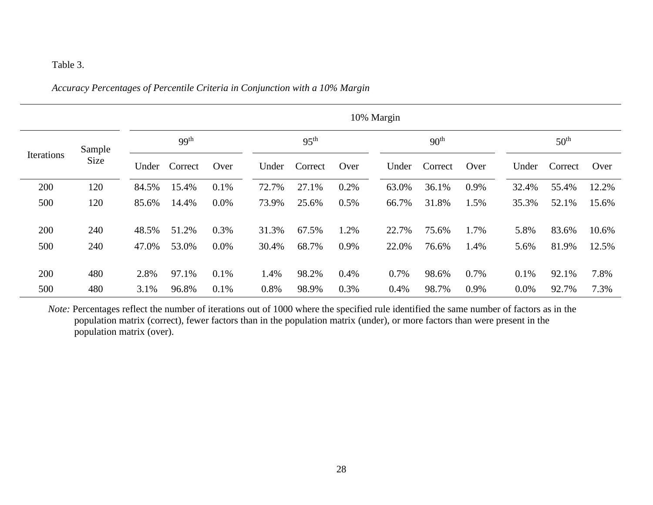## Table 3.

## *Accuracy Percentages of Percentile Criteria in Conjunction with a 10% Margin*

|                                     |     | 10% Margin |                  |      |       |                  |      |       |                  |      |       |                  |       |
|-------------------------------------|-----|------------|------------------|------|-------|------------------|------|-------|------------------|------|-------|------------------|-------|
| Sample<br><b>Iterations</b><br>Size |     |            | 99 <sup>th</sup> |      |       | 95 <sup>th</sup> |      |       | 90 <sup>th</sup> |      |       | 50 <sup>th</sup> |       |
|                                     |     | Under      | Correct          | Over | Under | Correct          | Over | Under | Correct          | Over | Under | Correct          | Over  |
| 200                                 | 120 | 84.5%      | 15.4%            | 0.1% | 72.7% | 27.1%            | 0.2% | 63.0% | 36.1%            | 0.9% | 32.4% | 55.4%            | 12.2% |
| 500                                 | 120 | 85.6%      | 14.4%            | 0.0% | 73.9% | 25.6%            | 0.5% | 66.7% | 31.8%            | 1.5% | 35.3% | 52.1%            | 15.6% |
| 200                                 | 240 | 48.5%      | 51.2%            | 0.3% | 31.3% | 67.5%            | 1.2% | 22.7% | 75.6%            | 1.7% | 5.8%  | 83.6%            | 10.6% |
| 500                                 | 240 | 47.0%      | 53.0%            | 0.0% | 30.4% | 68.7%            | 0.9% | 22.0% | 76.6%            | 1.4% | 5.6%  | 81.9%            | 12.5% |
| 200                                 | 480 | 2.8%       | 97.1%            | 0.1% | 1.4%  | 98.2%            | 0.4% | 0.7%  | 98.6%            | 0.7% | 0.1%  | 92.1%            | 7.8%  |
| 500                                 | 480 | 3.1%       | 96.8%            | 0.1% | 0.8%  | 98.9%            | 0.3% | 0.4%  | 98.7%            | 0.9% | 0.0%  | 92.7%            | 7.3%  |

*Note:* Percentages reflect the number of iterations out of 1000 where the specified rule identified the same number of factors as in the population matrix (correct), fewer factors than in the population matrix (under), or more factors than were present in the population matrix (over).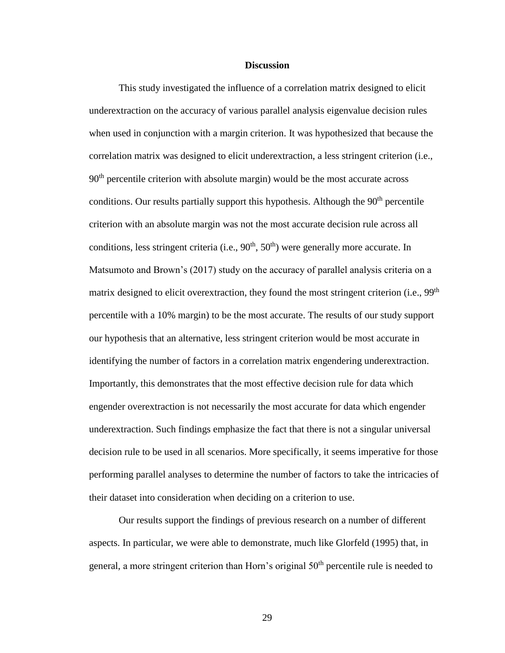#### **Discussion**

This study investigated the influence of a correlation matrix designed to elicit underextraction on the accuracy of various parallel analysis eigenvalue decision rules when used in conjunction with a margin criterion. It was hypothesized that because the correlation matrix was designed to elicit underextraction, a less stringent criterion (i.e.,  $90<sup>th</sup>$  percentile criterion with absolute margin) would be the most accurate across conditions. Our results partially support this hypothesis. Although the  $90<sup>th</sup>$  percentile criterion with an absolute margin was not the most accurate decision rule across all conditions, less stringent criteria (i.e.,  $90<sup>th</sup>$ ,  $50<sup>th</sup>$ ) were generally more accurate. In Matsumoto and Brown's (2017) study on the accuracy of parallel analysis criteria on a matrix designed to elicit overextraction, they found the most stringent criterion (i.e., 99<sup>th</sup>) percentile with a 10% margin) to be the most accurate. The results of our study support our hypothesis that an alternative, less stringent criterion would be most accurate in identifying the number of factors in a correlation matrix engendering underextraction. Importantly, this demonstrates that the most effective decision rule for data which engender overextraction is not necessarily the most accurate for data which engender underextraction. Such findings emphasize the fact that there is not a singular universal decision rule to be used in all scenarios. More specifically, it seems imperative for those performing parallel analyses to determine the number of factors to take the intricacies of their dataset into consideration when deciding on a criterion to use.

Our results support the findings of previous research on a number of different aspects. In particular, we were able to demonstrate, much like Glorfeld (1995) that, in general, a more stringent criterion than Horn's original 50<sup>th</sup> percentile rule is needed to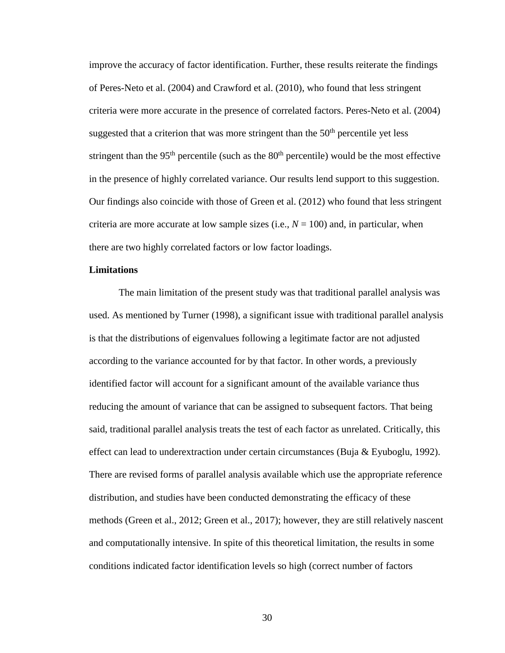improve the accuracy of factor identification. Further, these results reiterate the findings of Peres-Neto et al. (2004) and Crawford et al. (2010), who found that less stringent criteria were more accurate in the presence of correlated factors. Peres-Neto et al. (2004) suggested that a criterion that was more stringent than the  $50<sup>th</sup>$  percentile yet less stringent than the  $95<sup>th</sup>$  percentile (such as the  $80<sup>th</sup>$  percentile) would be the most effective in the presence of highly correlated variance. Our results lend support to this suggestion. Our findings also coincide with those of Green et al. (2012) who found that less stringent criteria are more accurate at low sample sizes (i.e.,  $N = 100$ ) and, in particular, when there are two highly correlated factors or low factor loadings.

## **Limitations**

The main limitation of the present study was that traditional parallel analysis was used. As mentioned by Turner (1998), a significant issue with traditional parallel analysis is that the distributions of eigenvalues following a legitimate factor are not adjusted according to the variance accounted for by that factor. In other words, a previously identified factor will account for a significant amount of the available variance thus reducing the amount of variance that can be assigned to subsequent factors. That being said, traditional parallel analysis treats the test of each factor as unrelated. Critically, this effect can lead to underextraction under certain circumstances (Buja & Eyuboglu, 1992). There are revised forms of parallel analysis available which use the appropriate reference distribution, and studies have been conducted demonstrating the efficacy of these methods (Green et al., 2012; Green et al., 2017); however, they are still relatively nascent and computationally intensive. In spite of this theoretical limitation, the results in some conditions indicated factor identification levels so high (correct number of factors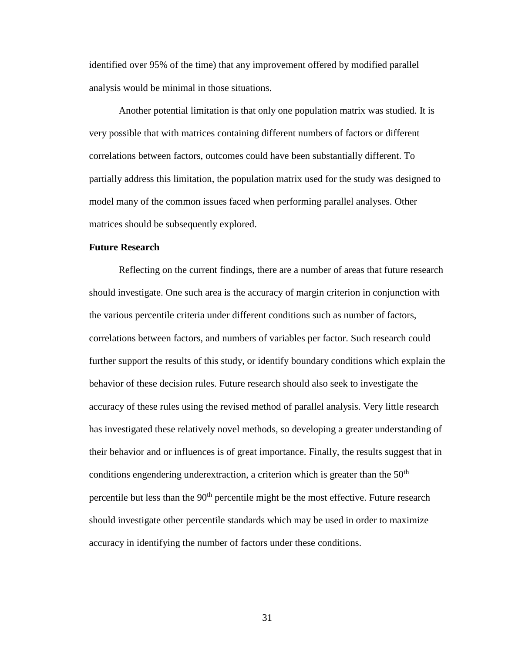identified over 95% of the time) that any improvement offered by modified parallel analysis would be minimal in those situations.

Another potential limitation is that only one population matrix was studied. It is very possible that with matrices containing different numbers of factors or different correlations between factors, outcomes could have been substantially different. To partially address this limitation, the population matrix used for the study was designed to model many of the common issues faced when performing parallel analyses. Other matrices should be subsequently explored.

## **Future Research**

Reflecting on the current findings, there are a number of areas that future research should investigate. One such area is the accuracy of margin criterion in conjunction with the various percentile criteria under different conditions such as number of factors, correlations between factors, and numbers of variables per factor. Such research could further support the results of this study, or identify boundary conditions which explain the behavior of these decision rules. Future research should also seek to investigate the accuracy of these rules using the revised method of parallel analysis. Very little research has investigated these relatively novel methods, so developing a greater understanding of their behavior and or influences is of great importance. Finally, the results suggest that in conditions engendering underextraction, a criterion which is greater than the  $50<sup>th</sup>$ percentile but less than the  $90<sup>th</sup>$  percentile might be the most effective. Future research should investigate other percentile standards which may be used in order to maximize accuracy in identifying the number of factors under these conditions.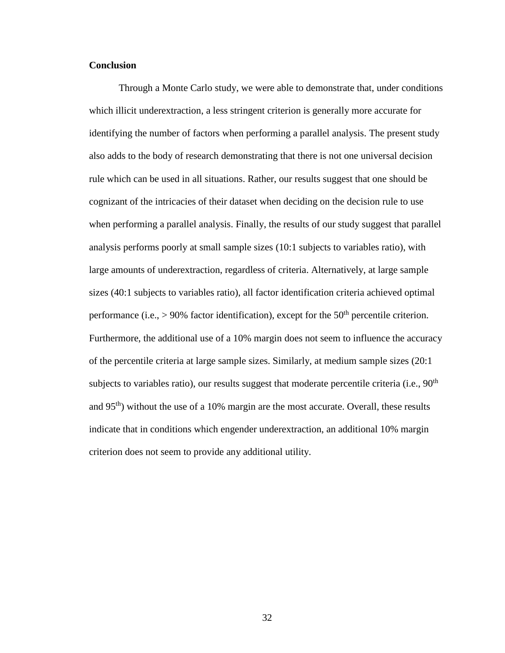## **Conclusion**

Through a Monte Carlo study, we were able to demonstrate that, under conditions which illicit underextraction, a less stringent criterion is generally more accurate for identifying the number of factors when performing a parallel analysis. The present study also adds to the body of research demonstrating that there is not one universal decision rule which can be used in all situations. Rather, our results suggest that one should be cognizant of the intricacies of their dataset when deciding on the decision rule to use when performing a parallel analysis. Finally, the results of our study suggest that parallel analysis performs poorly at small sample sizes (10:1 subjects to variables ratio), with large amounts of underextraction, regardless of criteria. Alternatively, at large sample sizes (40:1 subjects to variables ratio), all factor identification criteria achieved optimal performance (i.e.,  $> 90\%$  factor identification), except for the 50<sup>th</sup> percentile criterion. Furthermore, the additional use of a 10% margin does not seem to influence the accuracy of the percentile criteria at large sample sizes. Similarly, at medium sample sizes (20:1 subjects to variables ratio), our results suggest that moderate percentile criteria (i.e.,  $90<sup>th</sup>$ and 95<sup>th</sup>) without the use of a 10% margin are the most accurate. Overall, these results indicate that in conditions which engender underextraction, an additional 10% margin criterion does not seem to provide any additional utility.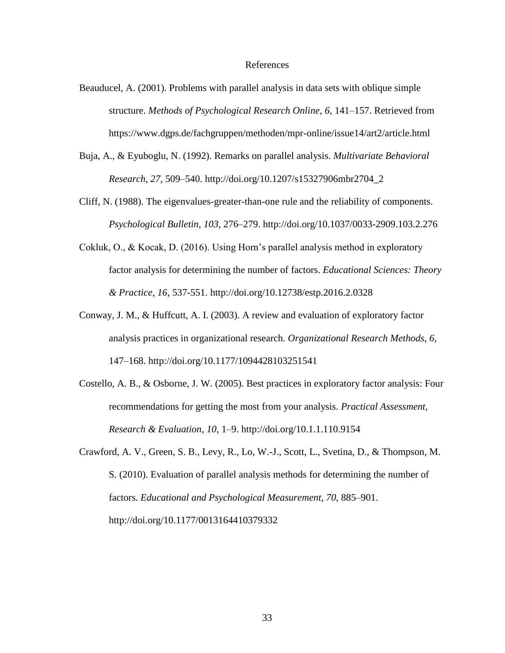#### References

- Beauducel, A. (2001). Problems with parallel analysis in data sets with oblique simple structure. *Methods of Psychological Research Online*, *6*, 141–157. Retrieved from https://www.dgps.de/fachgruppen/methoden/mpr-online/issue14/art2/article.html
- Buja, A., & Eyuboglu, N. (1992). Remarks on parallel analysis. *Multivariate Behavioral Research*, *27*, 509–540. http://doi.org/10.1207/s15327906mbr2704\_2
- Cliff, N. (1988). The eigenvalues-greater-than-one rule and the reliability of components. *Psychological Bulletin*, *103*, 276–279. http://doi.org/10.1037/0033-2909.103.2.276
- Cokluk, O., & Kocak, D. (2016). Using Horn's parallel analysis method in exploratory factor analysis for determining the number of factors. *Educational Sciences: Theory & Practice*, *16*, 537-551. http://doi.org/10.12738/estp.2016.2.0328
- Conway, J. M., & Huffcutt, A. I. (2003). A review and evaluation of exploratory factor analysis practices in organizational research. *Organizational Research Methods*, *6*, 147–168. http://doi.org/10.1177/1094428103251541
- Costello, A. B., & Osborne, J. W. (2005). Best practices in exploratory factor analysis: Four recommendations for getting the most from your analysis. *Practical Assessment, Research & Evaluation*, *10*, 1–9. http://doi.org/10.1.1.110.9154
- Crawford, A. V., Green, S. B., Levy, R., Lo, W.-J., Scott, L., Svetina, D., & Thompson, M. S. (2010). Evaluation of parallel analysis methods for determining the number of factors. *Educational and Psychological Measurement*, *70*, 885–901. http://doi.org/10.1177/0013164410379332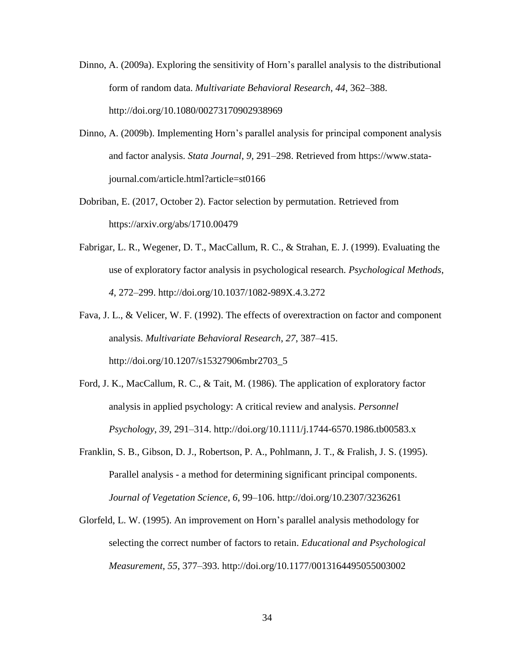- Dinno, A. (2009a). Exploring the sensitivity of Horn's parallel analysis to the distributional form of random data. *Multivariate Behavioral Research*, *44*, 362–388. http://doi.org/10.1080/00273170902938969
- Dinno, A. (2009b). Implementing Horn's parallel analysis for principal component analysis and factor analysis. *Stata Journal*, *9*, 291–298. Retrieved from https://www.statajournal.com/article.html?article=st0166
- Dobriban, E. (2017, October 2). Factor selection by permutation. Retrieved from https://arxiv.org/abs/1710.00479
- Fabrigar, L. R., Wegener, D. T., MacCallum, R. C., & Strahan, E. J. (1999). Evaluating the use of exploratory factor analysis in psychological research. *Psychological Methods*, *4*, 272–299. http://doi.org/10.1037/1082-989X.4.3.272
- Fava, J. L., & Velicer, W. F. (1992). The effects of overextraction on factor and component analysis. *Multivariate Behavioral Research*, *27*, 387–415. http://doi.org/10.1207/s15327906mbr2703\_5
- Ford, J. K., MacCallum, R. C., & Tait, M. (1986). The application of exploratory factor analysis in applied psychology: A critical review and analysis. *Personnel Psychology*, *39*, 291–314. http://doi.org/10.1111/j.1744-6570.1986.tb00583.x
- Franklin, S. B., Gibson, D. J., Robertson, P. A., Pohlmann, J. T., & Fralish, J. S. (1995). Parallel analysis - a method for determining significant principal components. *Journal of Vegetation Science*, *6*, 99–106. http://doi.org/10.2307/3236261
- Glorfeld, L. W. (1995). An improvement on Horn's parallel analysis methodology for selecting the correct number of factors to retain. *Educational and Psychological Measurement*, *55*, 377–393. http://doi.org/10.1177/0013164495055003002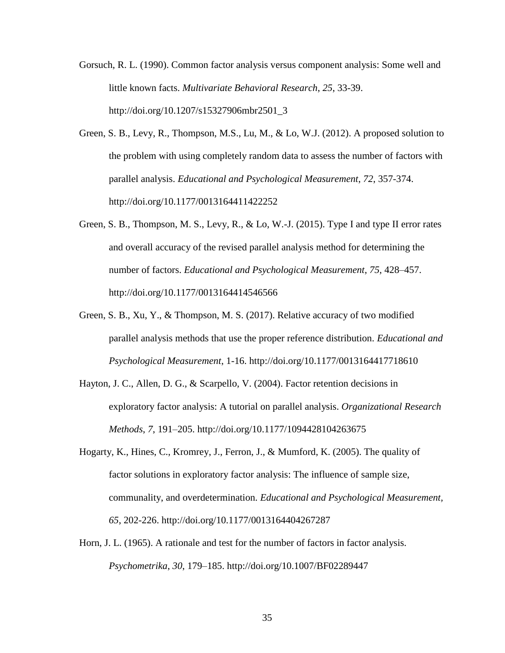- Gorsuch, R. L. (1990). Common factor analysis versus component analysis: Some well and little known facts. *Multivariate Behavioral Research*, *25*, 33-39. http://doi.org/10.1207/s15327906mbr2501\_3
- Green, S. B., Levy, R., Thompson, M.S., Lu, M., & Lo, W.J. (2012). A proposed solution to the problem with using completely random data to assess the number of factors with parallel analysis. *Educational and Psychological Measurement*, *72*, 357-374. http://doi.org/10.1177/0013164411422252
- Green, S. B., Thompson, M. S., Levy, R., & Lo, W.-J. (2015). Type I and type II error rates and overall accuracy of the revised parallel analysis method for determining the number of factors. *Educational and Psychological Measurement*, *75*, 428–457. http://doi.org/10.1177/0013164414546566
- Green, S. B., Xu, Y., & Thompson, M. S. (2017). Relative accuracy of two modified parallel analysis methods that use the proper reference distribution. *Educational and Psychological Measurement*, 1-16. http://doi.org/10.1177/0013164417718610
- Hayton, J. C., Allen, D. G., & Scarpello, V. (2004). Factor retention decisions in exploratory factor analysis: A tutorial on parallel analysis. *Organizational Research Methods*, *7*, 191–205. http://doi.org/10.1177/1094428104263675
- Hogarty, K., Hines, C., Kromrey, J., Ferron, J., & Mumford, K. (2005). The quality of factor solutions in exploratory factor analysis: The influence of sample size, communality, and overdetermination. *Educational and Psychological Measurement, 65*, 202-226. http://doi.org/10.1177/0013164404267287
- Horn, J. L. (1965). A rationale and test for the number of factors in factor analysis. *Psychometrika*, *30*, 179–185. http://doi.org/10.1007/BF02289447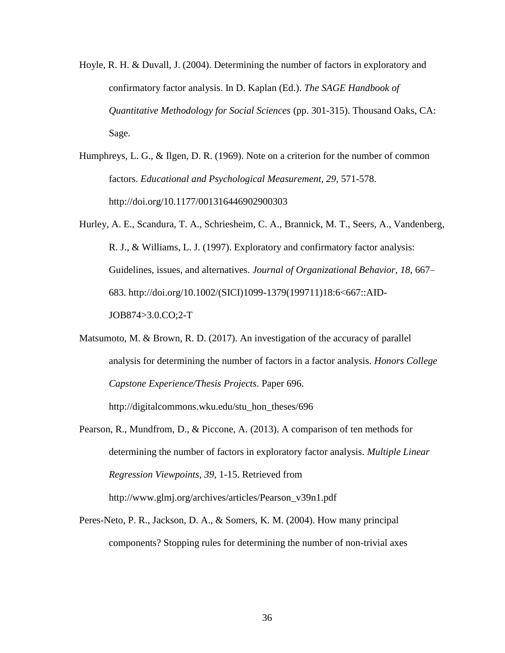- Hoyle, R. H. & Duvall, J. (2004). Determining the number of factors in exploratory and confirmatory factor analysis. In D. Kaplan (Ed.). *The SAGE Handbook of Quantitative Methodology for Social Sciences* (pp. 301-315). Thousand Oaks, CA: Sage.
- Humphreys, L. G., & Ilgen, D. R. (1969). Note on a criterion for the number of common factors. *Educational and Psychological Measurement, 29*, 571-578. http://doi.org/10.1177/001316446902900303
- Hurley, A. E., Scandura, T. A., Schriesheim, C. A., Brannick, M. T., Seers, A., Vandenberg, R. J., & Williams, L. J. (1997). Exploratory and confirmatory factor analysis: Guidelines, issues, and alternatives. *Journal of Organizational Behavior*, *18*, 667– 683. http://doi.org/10.1002/(SICI)1099-1379(199711)18:6<667::AID-JOB874>3.0.CO;2-T
- Matsumoto, M. & Brown, R. D. (2017). An investigation of the accuracy of parallel analysis for determining the number of factors in a factor analysis. *Honors College Capstone Experience/Thesis Projects*. Paper 696. http://digitalcommons.wku.edu/stu\_hon\_theses/696

Pearson, R., Mundfrom, D., & Piccone, A. (2013). A comparison of ten methods for

determining the number of factors in exploratory factor analysis. *Multiple Linear Regression Viewpoints, 39*, 1-15. Retrieved from http://www.glmj.org/archives/articles/Pearson\_v39n1.pdf

Peres-Neto, P. R., Jackson, D. A., & Somers, K. M. (2004). How many principal components? Stopping rules for determining the number of non-trivial axes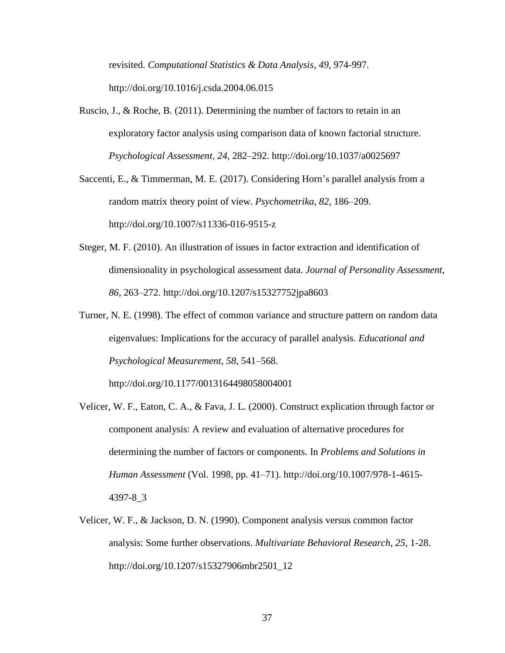revisited. *Computational Statistics & Data Analysis*, *49*, 974-997. http://doi.org/10.1016/j.csda.2004.06.015

- Ruscio, J., & Roche, B. (2011). Determining the number of factors to retain in an exploratory factor analysis using comparison data of known factorial structure. *Psychological Assessment*, *24*, 282–292. http://doi.org/10.1037/a0025697
- Saccenti, E., & Timmerman, M. E. (2017). Considering Horn's parallel analysis from a random matrix theory point of view. *Psychometrika*, *82*, 186–209. http://doi.org/10.1007/s11336-016-9515-z
- Steger, M. F. (2010). An illustration of issues in factor extraction and identification of dimensionality in psychological assessment data. *Journal of Personality Assessment*, *86*, 263–272. http://doi.org/10.1207/s15327752jpa8603
- Turner, N. E. (1998). The effect of common variance and structure pattern on random data eigenvalues: Implications for the accuracy of parallel analysis. *Educational and Psychological Measurement*, *58*, 541–568.

http://doi.org/10.1177/0013164498058004001

- Velicer, W. F., Eaton, C. A., & Fava, J. L. (2000). Construct explication through factor or component analysis: A review and evaluation of alternative procedures for determining the number of factors or components. In *Problems and Solutions in Human Assessment* (Vol. 1998, pp. 41–71). http://doi.org/10.1007/978-1-4615- 4397-8\_3
- Velicer, W. F., & Jackson, D. N. (1990). Component analysis versus common factor analysis: Some further observations. *Multivariate Behavioral Research*, *25*, 1-28. http://doi.org/10.1207/s15327906mbr2501\_12